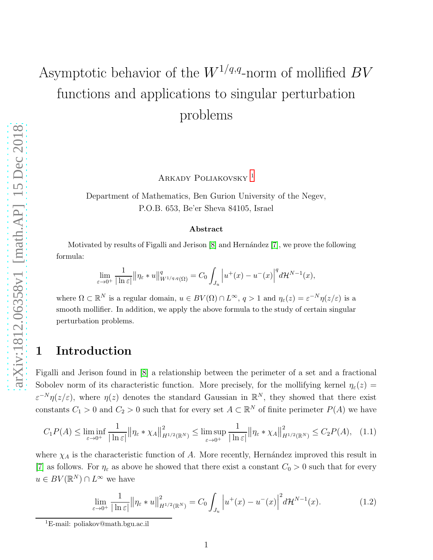# Asymptotic behavior of the  $W^{1/q,q}$ -norm of mollified  $BV$ functions and applications to singular perturbation problems

ARKADY POLIAKOVSKY<sup>[1](#page-0-0)</sup>

Department of Mathematics, Ben Gurion University of the Negev, P.O.B. 653, Be'er Sheva 84105, Israel

#### Abstract

Motivated by results of Figalli and Jerison  $[8]$  and Hernández  $[7]$ , we prove the following formula:

$$
\lim_{\varepsilon \to 0^+} \frac{1}{|\ln \varepsilon|} \| \eta_{\varepsilon} * u \|_{W^{1/q,q}(\Omega)}^q = C_0 \int_{J_u} \left| u^+(x) - u^-(x) \right|^q d\mathcal{H}^{N-1}(x),
$$

where  $\Omega \subset \mathbb{R}^N$  is a regular domain,  $u \in BV(\Omega) \cap L^{\infty}$ ,  $q > 1$  and  $\eta_{\varepsilon}(z) = \varepsilon^{-N} \eta(z/\varepsilon)$  is a smooth mollifier. In addition, we apply the above formula to the study of certain singular perturbation problems.

## 1 Introduction

Figalli and Jerison found in [\[8\]](#page-18-0) a relationship between the perimeter of a set and a fractional Sobolev norm of its characteristic function. More precisely, for the mollifying kernel  $\eta_{\varepsilon}(z)$  $\varepsilon^{-N}\eta(z/\varepsilon)$ , where  $\eta(z)$  denotes the standard Gaussian in  $\mathbb{R}^N$ , they showed that there exist constants  $C_1 > 0$  and  $C_2 > 0$  such that for every set  $A \subset \mathbb{R}^N$  of finite perimeter  $P(A)$  we have

$$
C_1 P(A) \le \liminf_{\varepsilon \to 0^+} \frac{1}{|\ln \varepsilon|} \| \eta_{\varepsilon} * \chi_A \|_{H^{1/2}(\mathbb{R}^N)}^2 \le \limsup_{\varepsilon \to 0^+} \frac{1}{|\ln \varepsilon|} \| \eta_{\varepsilon} * \chi_A \|_{H^{1/2}(\mathbb{R}^N)}^2 \le C_2 P(A), \quad (1.1)
$$

where  $\chi_A$  is the characteristic function of A. More recently, Hernández improved this result in [\[7\]](#page-18-1) as follows. For  $\eta_{\varepsilon}$  as above he showed that there exist a constant  $C_0 > 0$  such that for every  $u \in BV(\mathbb{R}^N) \cap L^{\infty}$  we have

<span id="page-0-1"></span>
$$
\lim_{\varepsilon \to 0^+} \frac{1}{|\ln \varepsilon|} \| \eta_{\varepsilon} * u \|_{H^{1/2}(\mathbb{R}^N)}^2 = C_0 \int_{J_u} \left| u^+(x) - u^-(x) \right|^2 d\mathcal{H}^{N-1}(x). \tag{1.2}
$$

<span id="page-0-0"></span><sup>&</sup>lt;sup>1</sup>E-mail: poliakov@math.bgu.ac.il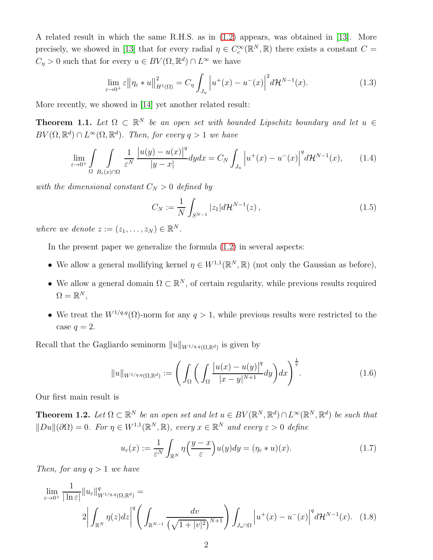A related result in which the same R.H.S. as in [\(1.2\)](#page-0-1) appears, was obtained in [\[13\]](#page-18-2). More precisely, we showed in [\[13\]](#page-18-2) that for every radial  $\eta \in C_c^{\infty}(\mathbb{R}^N, \mathbb{R})$  there exists a constant  $C =$  $C_{\eta} > 0$  such that for every  $u \in BV(\Omega, \mathbb{R}^d) \cap L^{\infty}$  we have

$$
\lim_{\varepsilon \to 0^+} \varepsilon ||\eta_{\varepsilon} * u||_{H^1(\Omega)}^2 = C_{\eta} \int_{J_u} \left| u^+(x) - u^-(x) \right|^2 d\mathcal{H}^{N-1}(x). \tag{1.3}
$$

More recently, we showed in [\[14\]](#page-18-3) yet another related result:

**Theorem 1.1.** Let  $\Omega \subset \mathbb{R}^N$  be an open set with bounded Lipschitz boundary and let  $u \in$  $BV(\Omega, \mathbb{R}^d) \cap L^{\infty}(\Omega, \mathbb{R}^d)$ . Then, for every  $q > 1$  we have

$$
\lim_{\varepsilon \to 0^+} \int_{\Omega} \int_{B_{\varepsilon}(x) \cap \Omega} \frac{1}{\varepsilon^N} \frac{|u(y) - u(x)|^q}{|y - x|} dy dx = C_N \int_{J_u} \left| u^+(x) - u^-(x) \right|^q d\mathcal{H}^{N-1}(x), \tag{1.4}
$$

with the dimensional constant  $C_N > 0$  defined by

$$
C_N := \frac{1}{N} \int_{S^{N-1}} |z_1| d\mathcal{H}^{N-1}(z) , \qquad (1.5)
$$

where we denote  $z := (z_1, \ldots, z_N) \in \mathbb{R}^N$ .

In the present paper we generalize the formula [\(1.2\)](#page-0-1) in several aspects:

- We allow a general mollifying kernel  $\eta \in W^{1,1}(\mathbb{R}^N,\mathbb{R})$  (not only the Gaussian as before),
- We allow a general domain  $\Omega \subset \mathbb{R}^N$ , of certain regularity, while previous results required  $\Omega = \mathbb{R}^N,$
- We treat the  $W^{1/q,q}(\Omega)$ -norm for any  $q>1$ , while previous results were restricted to the case  $q=2$ .

Recall that the Gagliardo seminorm  $||u||_{W^{1/q,q}(\Omega,\mathbb{R}^d)}$  is given by

<span id="page-1-1"></span>
$$
||u||_{W^{1/q,q}(\Omega,\mathbb{R}^d)} := \left(\int_{\Omega} \left(\int_{\Omega} \frac{|u(x) - u(y)|^q}{|x - y|^{N+1}} dy\right) dx\right)^{\frac{1}{q}}.\tag{1.6}
$$

Our first main result is

<span id="page-1-0"></span>**Theorem 1.2.** Let  $\Omega \subset \mathbb{R}^N$  be an open set and let  $u \in BV(\mathbb{R}^N, \mathbb{R}^d) \cap L^{\infty}(\mathbb{R}^N, \mathbb{R}^d)$  be such that  $||Du||(\partial\Omega) = 0$ . For  $\eta \in W^{1,1}(\mathbb{R}^N, \mathbb{R})$ , every  $x \in \mathbb{R}^N$  and every  $\varepsilon > 0$  define

<span id="page-1-2"></span>
$$
u_{\varepsilon}(x) := \frac{1}{\varepsilon^N} \int_{\mathbb{R}^N} \eta\left(\frac{y - x}{\varepsilon}\right) u(y) dy = (\eta_{\varepsilon} * u)(x).
$$
 (1.7)

Then, for any  $q > 1$  we have

$$
\lim_{\varepsilon \to 0^{+}} \frac{1}{|\ln \varepsilon|} \|u_{\varepsilon}\|_{W^{1/q,q}(\Omega, \mathbb{R}^{d})}^{q} =
$$
\n
$$
2 \left| \int_{\mathbb{R}^{N}} \eta(z) dz \right|^{q} \left( \int_{\mathbb{R}^{N-1}} \frac{dv}{\left(\sqrt{1+|v|^{2}}\right)^{N+1}} \right) \int_{J_{u}(\Omega)} \left| u^{+}(x) - u^{-}(x) \right|^{q} d\mathcal{H}^{N-1}(x). \quad (1.8)
$$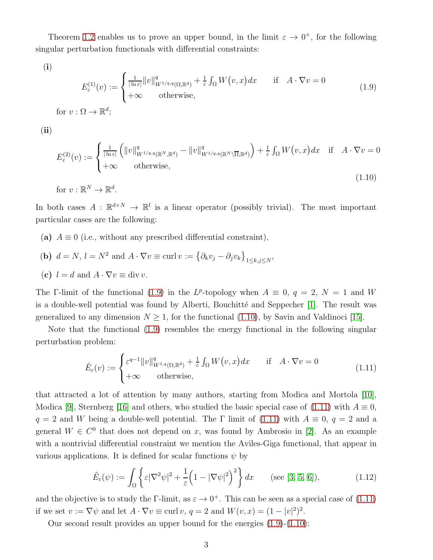Theorem [1.2](#page-1-0) enables us to prove an upper bound, in the limit  $\varepsilon \to 0^+$ , for the following singular perturbation functionals with differential constraints:

(i)

<span id="page-2-0"></span>
$$
E_{\varepsilon}^{(1)}(v) := \begin{cases} \frac{1}{|\ln \varepsilon|} ||v||_{W^{1/q,q}(\Omega,\mathbb{R}^d)}^q + \frac{1}{\varepsilon} \int_{\Omega} W(v,x) dx & \text{if } A \cdot \nabla v = 0\\ +\infty & \text{otherwise,} \end{cases}
$$
(1.9)

(ii)

<span id="page-2-1"></span>
$$
E_{\varepsilon}^{(2)}(v) := \begin{cases} \frac{1}{|\ln \varepsilon|} \left( \|v\|_{W^{1/q,q}(\mathbb{R}^N, \mathbb{R}^d)}^q - \|v\|_{W^{1/q,q}(\mathbb{R}^N \setminus \overline{\Omega}, \mathbb{R}^d)}^q \right) + \frac{1}{\varepsilon} \int_{\Omega} W(v, x) dx & \text{if} \quad A \cdot \nabla v = 0\\ +\infty & \text{otherwise}, \end{cases}
$$
(1.10)

for  $v : \mathbb{R}^N \to \mathbb{R}^d$ .

In both cases  $A: \mathbb{R}^{d \times N} \to \mathbb{R}^{l}$  is a linear operator (possibly trivial). The most important particular cases are the following:

- (a)  $A \equiv 0$  (i.e., without any prescribed differential constraint),
- (**b**)  $d = N$ ,  $l = N^2$  and  $A \cdot \nabla v \equiv \text{curl } v := \{ \partial_k v_j \partial_j v_k \}_{1 \leq k, j \leq N}$ ,
- (c)  $l = d$  and  $A \cdot \nabla v \equiv \text{div } v$ .

The F-limit of the functional [\(1.9\)](#page-2-0) in the L<sup>p</sup>-topology when  $A \equiv 0, q = 2, N = 1$  and W is a double-well potential was found by Alberti, Bouchitté and Seppecher  $[1]$ . The result was generalized to any dimension  $N \geq 1$ , for the functional [\(1.10\)](#page-2-1), by Savin and Valdinoci [\[15\]](#page-18-4).

Note that the functional [\(1.9\)](#page-2-0) resembles the energy functional in the following singular perturbation problem:

<span id="page-2-2"></span>
$$
\hat{E}_{\varepsilon}(v) := \begin{cases} \varepsilon^{q-1} ||v||_{W^{1,q}(\Omega, \mathbb{R}^d)}^q + \frac{1}{\varepsilon} \int_{\Omega} W(v, x) dx & \text{if } A \cdot \nabla v = 0\\ +\infty & \text{otherwise,} \end{cases}
$$
\n(1.11)

that attracted a lot of attention by many authors, starting from Modica and Mortola [\[10\]](#page-18-5), Modica [\[9\]](#page-18-6), Sternberg [\[16\]](#page-18-7) and others, who studied the basic special case of [\(1.11\)](#page-2-2) with  $A \equiv 0$ ,  $q = 2$  and W being a double-well potential. The Γ limit of [\(1.11\)](#page-2-2) with  $A \equiv 0, q = 2$  and a general  $W \in C^0$  that does not depend on x, was found by Ambrosio in [\[2\]](#page-17-1). As an example with a nontrivial differential constraint we mention the Aviles-Giga functional, that appear in various applications. It is defined for scalar functions  $\psi$  by

$$
\tilde{E}_{\varepsilon}(\psi) := \int_{\Omega} \left\{ \varepsilon |\nabla^2 \psi|^2 + \frac{1}{\varepsilon} \left( 1 - |\nabla \psi|^2 \right)^2 \right\} dx \qquad \text{(see [3, 5, 6]),} \tag{1.12}
$$

and the objective is to study the Γ-limit, as  $\varepsilon \to 0^+$ . This can be seen as a special case of [\(1.11\)](#page-2-2) if we set  $v := \nabla \psi$  and let  $A \cdot \nabla v \equiv \text{curl } v$ ,  $q = 2$  and  $W(v, x) = (1 - |v|^2)^2$ .

Our second result provides an upper bound for the energies [\(1.9\)](#page-2-0)-[\(1.10\)](#page-2-1):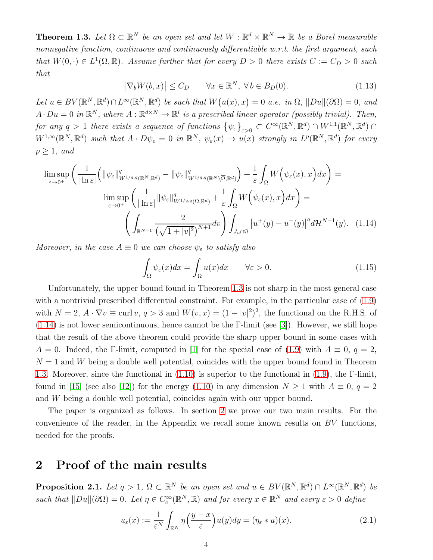<span id="page-3-0"></span>**Theorem 1.3.** Let  $\Omega \subset \mathbb{R}^N$  be an open set and let  $W : \mathbb{R}^d \times \mathbb{R}^N \to \mathbb{R}$  be a Borel measurable nonnegative function, continuous and continuously differentiable w.r.t. the first argument, such that  $W(0, \cdot) \in L^1(\Omega, \mathbb{R})$ . Assume further that for every  $D > 0$  there exists  $C := C_D > 0$  such that

$$
\left|\nabla_b W(b,x)\right| \le C_D \qquad \forall x \in \mathbb{R}^N, \ \forall b \in B_D(0). \tag{1.13}
$$

Let  $u \in BV(\mathbb{R}^N, \mathbb{R}^d) \cap L^{\infty}(\mathbb{R}^N, \mathbb{R}^d)$  be such that  $W(u(x), x) = 0$  a.e. in  $\Omega$ ,  $||Du||(\partial \Omega) = 0$ , and  $A \cdot Du = 0$  in  $\mathbb{R}^N$ , where  $A : \mathbb{R}^{d \times N} \to \mathbb{R}^l$  is a prescribed linear operator (possibly trivial). Then, for any  $q > 1$  there exists a sequence of functions  $\{\psi_{\varepsilon}\}_{{\varepsilon}>0} \subset C^{\infty}(\mathbb{R}^N,\mathbb{R}^d) \cap W^{1,1}(\mathbb{R}^N,\mathbb{R}^d) \cap$  $W^{1,\infty}(\mathbb{R}^N,\mathbb{R}^d)$  such that  $A\cdot D\psi_{\varepsilon}=0$  in  $\mathbb{R}^N$ ,  $\psi_{\varepsilon}(x) \to u(x)$  strongly in  $L^p(\mathbb{R}^N,\mathbb{R}^d)$  for every  $p \geq 1$ , and

$$
\limsup_{\varepsilon \to 0^{+}} \left( \frac{1}{|\ln \varepsilon|} \left( \|\psi_{\varepsilon}\|_{W^{1/q,q}(\mathbb{R}^{N},\mathbb{R}^{d})}^{q} - \|\psi_{\varepsilon}\|_{W^{1/q,q}(\mathbb{R}^{N}\setminus\overline{\Omega},\mathbb{R}^{d})}^{q} \right) + \frac{1}{\varepsilon} \int_{\Omega} W\left(\psi_{\varepsilon}(x),x\right) dx \right) =
$$
\n
$$
\limsup_{\varepsilon \to 0^{+}} \left( \frac{1}{|\ln \varepsilon|} \|\psi_{\varepsilon}\|_{W^{1/q,q}(\Omega,\mathbb{R}^{d})}^{q} + \frac{1}{\varepsilon} \int_{\Omega} W\left(\psi_{\varepsilon}(x),x\right) dx \right) =
$$
\n
$$
\left( \int_{\mathbb{R}^{N-1}} \frac{2}{\left(\sqrt{1+|v|^{2}}\right)^{N+1}} dv \right) \int_{J_{u}\cap\Omega} |u^{+}(y) - u^{-}(y)|^{q} d\mathcal{H}^{N-1}(y). \quad (1.14)
$$

Moreover, in the case  $A \equiv 0$  we can choose  $\psi_{\varepsilon}$  to satisfy also

<span id="page-3-5"></span><span id="page-3-1"></span>
$$
\int_{\Omega} \psi_{\varepsilon}(x) dx = \int_{\Omega} u(x) dx \qquad \forall \varepsilon > 0.
$$
\n(1.15)

Unfortunately, the upper bound found in Theorem [1.3](#page-3-0) is not sharp in the most general case with a nontrivial prescribed differential constraint. For example, in the particular case of [\(1.9\)](#page-2-0) with  $N = 2$ ,  $A \cdot \nabla v \equiv \text{curl } v$ ,  $q > 3$  and  $W(v, x) = (1 - |v|^2)^2$ , the functional on the R.H.S. of [\(1.14\)](#page-3-1) is not lower semicontinuous, hence cannot be the Γ-limit (see [\[3\]](#page-17-2)). However, we still hope that the result of the above theorem could provide the sharp upper bound in some cases with  $A = 0$ . Indeed, the Γ-limit, computed in [\[1\]](#page-17-0) for the special case of [\(1.9\)](#page-2-0) with  $A \equiv 0, q = 2$ ,  $N = 1$  and W being a double well potential, coincides with the upper bound found in Theorem [1.3.](#page-3-0) Moreover, since the functional in [\(1.10\)](#page-2-1) is superior to the functional in [\(1.9\)](#page-2-0), the Γ-limit, found in [\[15\]](#page-18-4) (see also [\[12\]](#page-18-10)) for the energy [\(1.10\)](#page-2-1) in any dimension  $N \ge 1$  with  $A \equiv 0, q = 2$ and W being a double well potential, coincides again with our upper bound.

The paper is organized as follows. In section [2](#page-3-2) we prove our two main results. For the convenience of the reader, in the Appendix we recall some known results on  $BV$  functions, needed for the proofs.

### <span id="page-3-2"></span>2 Proof of the main results

<span id="page-3-4"></span>**Proposition 2.1.** Let  $q > 1$ ,  $\Omega \subset \mathbb{R}^N$  be an open set and  $u \in BV(\mathbb{R}^N, \mathbb{R}^d) \cap L^{\infty}(\mathbb{R}^N, \mathbb{R}^d)$  be such that  $||Du||(\partial\Omega) = 0$ . Let  $\eta \in C_c^{\infty}(\mathbb{R}^N, \mathbb{R})$  and for every  $x \in \mathbb{R}^N$  and every  $\varepsilon > 0$  define

<span id="page-3-3"></span>
$$
u_{\varepsilon}(x) := \frac{1}{\varepsilon^N} \int_{\mathbb{R}^N} \eta\left(\frac{y-x}{\varepsilon}\right) u(y) dy = (\eta_{\varepsilon} * u)(x).
$$
 (2.1)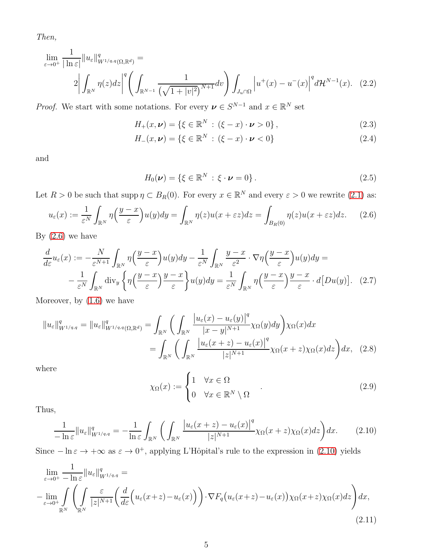Then,

$$
\lim_{\varepsilon \to 0^+} \frac{1}{|\ln \varepsilon|} \|u_{\varepsilon}\|_{W^{1/q,q}(\Omega,\mathbb{R}^d)}^q =
$$
\n
$$
2 \left| \int_{\mathbb{R}^N} \eta(z) dz \right|^q \left( \int_{\mathbb{R}^{N-1}} \frac{1}{\left(\sqrt{1+|v|^2}\right)^{N+1}} dv \right) \int_{J_u \cap \Omega} \left| u^+(x) - u^-(x) \right|^q d\mathcal{H}^{N-1}(x). \tag{2.2}
$$

*Proof.* We start with some notations. For every  $\boldsymbol{\nu} \in S^{N-1}$  and  $x \in \mathbb{R}^N$  set

<span id="page-4-7"></span>
$$
H_{+}(x, \nu) = \{ \xi \in \mathbb{R}^{N} : (\xi - x) \cdot \nu > 0 \},
$$
\n(2.3)

$$
H_{-}(x, \nu) = \{ \xi \in \mathbb{R}^{N} : (\xi - x) \cdot \nu < 0 \}
$$
\n(2.4)

and

<span id="page-4-6"></span><span id="page-4-5"></span><span id="page-4-4"></span>
$$
H_0(\boldsymbol{\nu}) = \{ \xi \in \mathbb{R}^N : \xi \cdot \boldsymbol{\nu} = 0 \}.
$$
 (2.5)

Let  $R > 0$  be such that supp  $\eta \subset B_R(0)$ . For every  $x \in \mathbb{R}^N$  and every  $\varepsilon > 0$  we rewrite [\(2.1\)](#page-3-3) as:

<span id="page-4-0"></span>
$$
u_{\varepsilon}(x) := \frac{1}{\varepsilon^N} \int_{\mathbb{R}^N} \eta\left(\frac{y-x}{\varepsilon}\right) u(y) dy = \int_{\mathbb{R}^N} \eta(z) u(x + \varepsilon z) dz = \int_{B_R(0)} \eta(z) u(x + \varepsilon z) dz. \tag{2.6}
$$

By  $(2.6)$  we have

$$
\frac{d}{d\varepsilon}u_{\varepsilon}(x) := -\frac{N}{\varepsilon^{N+1}} \int_{\mathbb{R}^N} \eta\left(\frac{y-x}{\varepsilon}\right)u(y)dy - \frac{1}{\varepsilon^N} \int_{\mathbb{R}^N} \frac{y-x}{\varepsilon^2} \cdot \nabla \eta\left(\frac{y-x}{\varepsilon}\right)u(y)dy = -\frac{1}{\varepsilon^N} \int_{\mathbb{R}^N} \text{div}_y \left\{\eta\left(\frac{y-x}{\varepsilon}\right) \frac{y-x}{\varepsilon}\right\}u(y)dy = \frac{1}{\varepsilon^N} \int_{\mathbb{R}^N} \eta\left(\frac{y-x}{\varepsilon}\right) \frac{y-x}{\varepsilon} \cdot d[Du(y)]. \quad (2.7)
$$

Moreover, by [\(1.6\)](#page-1-1) we have

$$
||u_{\varepsilon}||_{W^{1/q,q}}^{q} = ||u_{\varepsilon}||_{W^{1/q,q}(\Omega,\mathbb{R}^{d})}^{q} = \int_{\mathbb{R}^{N}} \left( \int_{\mathbb{R}^{N}} \frac{|u_{\varepsilon}(x) - u_{\varepsilon}(y)|^{q}}{|x - y|^{N+1}} \chi_{\Omega}(y) dy \right) \chi_{\Omega}(x) dx
$$

$$
= \int_{\mathbb{R}^{N}} \left( \int_{\mathbb{R}^{N}} \frac{|u_{\varepsilon}(x + z) - u_{\varepsilon}(x)|^{q}}{|z|^{N+1}} \chi_{\Omega}(x + z) \chi_{\Omega}(x) dz \right) dx, \quad (2.8)
$$

where

<span id="page-4-3"></span><span id="page-4-2"></span>
$$
\chi_{\Omega}(x) := \begin{cases} 1 & \forall x \in \Omega \\ 0 & \forall x \in \mathbb{R}^N \setminus \Omega \end{cases} . \tag{2.9}
$$

Thus,

<span id="page-4-1"></span>
$$
\frac{1}{-\ln \varepsilon} \|u_{\varepsilon}\|_{W^{1/q,q}}^q = -\frac{1}{\ln \varepsilon} \int_{\mathbb{R}^N} \bigg( \int_{\mathbb{R}^N} \frac{\big|u_{\varepsilon}(x+z) - u_{\varepsilon}(x)\big|^q}{|z|^{N+1}} \chi_{\Omega}(x+z) \chi_{\Omega}(x) dz \bigg) dx. \tag{2.10}
$$

Since  $-\ln \varepsilon \to +\infty$  as  $\varepsilon \to 0^+$ , applying L'Hôpital's rule to the expression in [\(2.10\)](#page-4-1) yields

$$
\lim_{\varepsilon \to 0^{+}} \frac{1}{-\ln \varepsilon} \|u_{\varepsilon}\|_{W^{1/q,q}}^{q} =
$$
\n
$$
-\lim_{\varepsilon \to 0^{+}} \int_{\mathbb{R}^{N}} \left( \int_{\mathbb{R}^{N}} \frac{\varepsilon}{|z|^{N+1}} \left( \frac{d}{d\varepsilon} \Big( u_{\varepsilon}(x+z) - u_{\varepsilon}(x) \Big) \right) \cdot \nabla F_{q} \big( u_{\varepsilon}(x+z) - u_{\varepsilon}(x) \big) \chi_{\Omega}(x+z) \chi_{\Omega}(x) dz \right) dx,
$$
\n(2.11)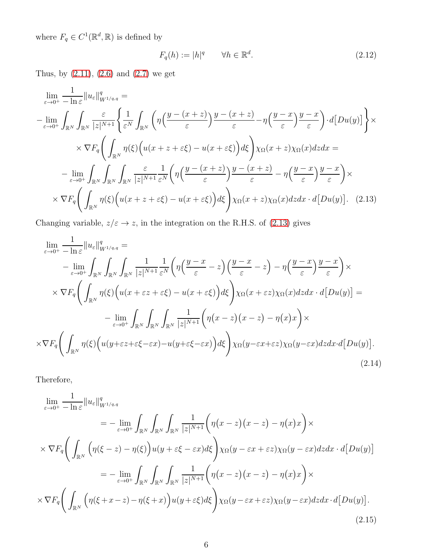where  $F_q \in C^1(\mathbb{R}^d, \mathbb{R})$  is defined by

<span id="page-5-1"></span><span id="page-5-0"></span>
$$
F_q(h) := |h|^q \qquad \forall h \in \mathbb{R}^d. \tag{2.12}
$$

Thus, by  $(2.11)$ ,  $(2.6)$  and  $(2.7)$  we get

$$
\lim_{\varepsilon \to 0^{+}} \frac{1}{-\ln \varepsilon} \|u_{\varepsilon}\|_{W^{1/q,q}}^{q} =
$$
\n
$$
-\lim_{\varepsilon \to 0^{+}} \int_{\mathbb{R}^{N}} \int_{\mathbb{R}^{N}} \frac{\varepsilon}{|z|^{N+1}} \left\{ \frac{1}{\varepsilon^{N}} \int_{\mathbb{R}^{N}} \left( \eta \left( \frac{y - (x + z)}{\varepsilon} \right) \frac{y - (x + z)}{\varepsilon} - \eta \left( \frac{y - x}{\varepsilon} \right) \frac{y - x}{\varepsilon} \right) \cdot d[Du(y)] \right\} \times
$$
\n
$$
\times \nabla F_{q} \left( \int_{\mathbb{R}^{N}} \eta(\xi) \left( u(x + z + \varepsilon \xi) - u(x + \varepsilon \xi) \right) d\xi \right) \chi_{\Omega}(x + z) \chi_{\Omega}(x) dz dx =
$$
\n
$$
-\lim_{\varepsilon \to 0^{+}} \int_{\mathbb{R}^{N}} \int_{\mathbb{R}^{N}} \int_{\mathbb{R}^{N}} \frac{\varepsilon}{|z|^{N+1}} \frac{1}{\varepsilon^{N}} \left( \eta \left( \frac{y - (x + z)}{\varepsilon} \right) \frac{y - (x + z)}{\varepsilon} - \eta \left( \frac{y - x}{\varepsilon} \right) \frac{y - x}{\varepsilon} \right) \times
$$
\n
$$
\times \nabla F_{q} \left( \int_{\mathbb{R}^{N}} \eta(\xi) \left( u(x + z + \varepsilon \xi) - u(x + \varepsilon \xi) \right) d\xi \right) \chi_{\Omega}(x + z) \chi_{\Omega}(x) dz dx \cdot d[Du(y)]. \quad (2.13)
$$

Changing variable,  $z/\varepsilon \to z,$  in the integration on the R.H.S. of [\(2.13\)](#page-5-0) gives

$$
\lim_{\varepsilon \to 0^{+}} \frac{1}{-\ln \varepsilon} \|u_{\varepsilon}\|_{W^{1/q,q}}^{q} =
$$
\n
$$
-\lim_{\varepsilon \to 0^{+}} \int_{\mathbb{R}^{N}} \int_{\mathbb{R}^{N}} \int_{\mathbb{R}^{N}} \frac{1}{|z|^{N+1}} \frac{1}{\varepsilon^{N}} \left( \eta \left( \frac{y-x}{\varepsilon} - z \right) \left( \frac{y-x}{\varepsilon} - z \right) - \eta \left( \frac{y-x}{\varepsilon} \right) \frac{y-x}{\varepsilon} \right) \times
$$
\n
$$
\times \nabla F_{q} \left( \int_{\mathbb{R}^{N}} \eta(\xi) \left( u(x + \varepsilon z + \varepsilon \xi) - u(x + \varepsilon \xi) \right) d\xi \right) \chi_{\Omega}(x + \varepsilon z) \chi_{\Omega}(x) dz dx \cdot d[Du(y)] =
$$
\n
$$
-\lim_{\varepsilon \to 0^{+}} \int_{\mathbb{R}^{N}} \int_{\mathbb{R}^{N}} \int_{\mathbb{R}^{N}} \frac{1}{|z|^{N+1}} \left( \eta(x - z) (x - z) - \eta(x) x \right) \times
$$
\n
$$
\times \nabla F_{q} \left( \int_{\mathbb{R}^{N}} \eta(\xi) \left( u(y + \varepsilon z + \varepsilon \xi - \varepsilon x) - u(y + \varepsilon \xi - \varepsilon x \right) \right) d\xi \right) \chi_{\Omega}(y - \varepsilon x + \varepsilon z) \chi_{\Omega}(y - \varepsilon x) dz dx \cdot d[Du(y)]. \tag{2.14}
$$

Therefore,

$$
\lim_{\varepsilon \to 0^{+}} \frac{1}{-\ln \varepsilon} \|u_{\varepsilon}\|_{W^{1/q,q}}^{q}
$$
\n
$$
= -\lim_{\varepsilon \to 0^{+}} \int_{\mathbb{R}^{N}} \int_{\mathbb{R}^{N}} \frac{1}{|z|^{N+1}} \Big( \eta(x-z)(x-z) - \eta(x)x \Big) \times
$$
\n
$$
\times \nabla F_{q} \Big( \int_{\mathbb{R}^{N}} \Big( \eta(\xi - z) - \eta(\xi) \Big) u(y + \varepsilon \xi - \varepsilon x) d\xi \Big) \chi_{\Omega} (y - \varepsilon x + \varepsilon z) \chi_{\Omega} (y - \varepsilon x) dz dx \cdot d[Du(y)]
$$
\n
$$
= -\lim_{\varepsilon \to 0^{+}} \int_{\mathbb{R}^{N}} \int_{\mathbb{R}^{N}} \frac{1}{|z|^{N+1}} \Big( \eta(x-z)(x-z) - \eta(x)x \Big) \times
$$
\n
$$
\times \nabla F_{q} \Big( \int_{\mathbb{R}^{N}} \Big( \eta(\xi + x - z) - \eta(\xi + x) \Big) u(y + \varepsilon \xi) d\xi \Big) \chi_{\Omega} (y - \varepsilon x + \varepsilon z) \chi_{\Omega} (y - \varepsilon x) dz dx \cdot d[Du(y)].
$$
\n(2.15)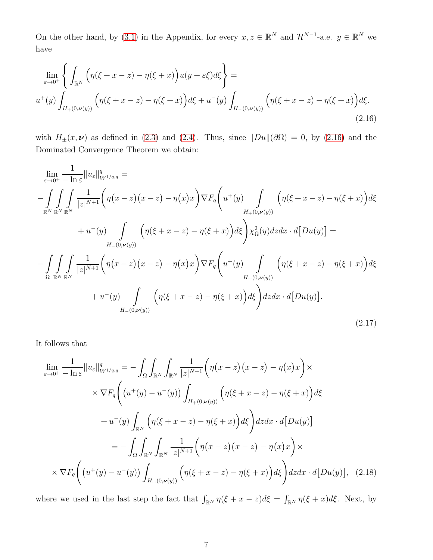On the other hand, by [\(3.1\)](#page-16-0) in the Appendix, for every  $x, z \in \mathbb{R}^N$  and  $\mathcal{H}^{N-1}$ -a.e.  $y \in \mathbb{R}^N$  we have

$$
\lim_{\varepsilon \to 0^{+}} \left\{ \int_{\mathbb{R}^{N}} \left( \eta(\xi + x - z) - \eta(\xi + x) \right) u(y + \varepsilon \xi) d\xi \right\} =
$$
\n
$$
u^{+}(y) \int_{H_{+}(0,\nu(y))} \left( \eta(\xi + x - z) - \eta(\xi + x) \right) d\xi + u^{-}(y) \int_{H_{-}(0,\nu(y))} \left( \eta(\xi + x - z) - \eta(\xi + x) \right) d\xi.
$$
\n(2.16)

<span id="page-6-0"></span>with  $H_{\pm}(x, \nu)$  as defined in [\(2.3\)](#page-4-4) and [\(2.4\)](#page-4-5). Thus, since  $||Du||(\partial\Omega) = 0$ , by [\(2.16\)](#page-6-0) and the Dominated Convergence Theorem we obtain:

$$
\lim_{\varepsilon \to 0^{+}} \frac{1}{-\ln \varepsilon} ||u_{\varepsilon}||_{W^{1/q,q}}^{q} =
$$
\n
$$
-\int_{\mathbb{R}^{N}} \int_{\mathbb{R}^{N}} \int_{\mathbb{R}^{N}} \frac{1}{|z|^{N+1}} \Big( \eta(x-z) (x-z) - \eta(x)x \Big) \nabla F_{q} \Big( u^{+}(y) \int_{H_{+}(0,\nu(y))} \Big( \eta(\xi + x - z) - \eta(\xi + x) \Big) d\xi
$$
\n
$$
+ u^{-}(y) \int_{H_{-}(0,\nu(y))} \Big( \eta(\xi + x - z) - \eta(\xi + x) \Big) d\xi \Big) \chi_{\Omega}^{2}(y) dz dx \cdot d[Du(y)] =
$$
\n
$$
-\int_{\Omega} \int_{\mathbb{R}^{N}} \int_{\mathbb{R}^{N}} \frac{1}{|z|^{N+1}} \Big( \eta(x-z) (x-z) - \eta(x)x \Big) \nabla F_{q} \Big( u^{+}(y) \int_{H_{+}(0,\nu(y))} \Big( \eta(\xi + x - z) - \eta(\xi + x) \Big) d\xi
$$
\n
$$
+ u^{-}(y) \int_{H_{-}(0,\nu(y))} \Big( \eta(\xi + x - z) - \eta(\xi + x) \Big) d\xi \Big) dz dx \cdot d[Du(y)]. \tag{2.17}
$$

It follows that

$$
\lim_{\varepsilon \to 0^{+}} \frac{1}{-\ln \varepsilon} \|u_{\varepsilon}\|_{W^{1/q,q}}^{q} = -\int_{\Omega} \int_{\mathbb{R}^{N}} \int_{\mathbb{R}^{N}} \frac{1}{|z|^{N+1}} \left( \eta(x-z)(x-z) - \eta(x)x \right) \times
$$
\n
$$
\times \nabla F_{q} \left( \left( u^{+}(y) - u^{-}(y) \right) \int_{H_{+}(0,\nu(y))} \left( \eta(\xi + x - z) - \eta(\xi + x) \right) d\xi + u^{-}(y) \int_{\mathbb{R}^{N}} \left( \eta(\xi + x - z) - \eta(\xi + x) \right) d\xi \right) dz dx \cdot d[Du(y)]
$$
\n
$$
= -\int_{\Omega} \int_{\mathbb{R}^{N}} \int_{\mathbb{R}^{N}} \frac{1}{|z|^{N+1}} \left( \eta(x-z)(x-z) - \eta(x)x \right) \times
$$
\n
$$
\times \nabla F_{q} \left( \left( u^{+}(y) - u^{-}(y) \right) \int_{H_{+}(0,\nu(y))} \left( \eta(\xi + x - z) - \eta(\xi + x) \right) d\xi \right) dz dx \cdot d[Du(y)], \quad (2.18)
$$

<span id="page-6-1"></span>where we used in the last step the fact that  $\int_{\mathbb{R}^N} \eta(\xi + x - z) d\xi = \int_{\mathbb{R}^N} \eta(\xi + x) d\xi$ . Next, by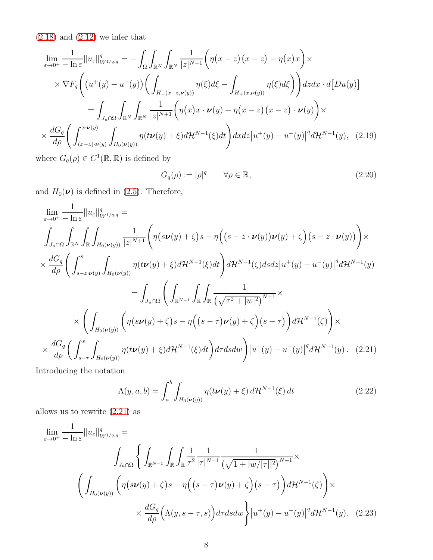$(2.18)$  and  $(2.12)$  we infer that

$$
\lim_{\varepsilon \to 0^{+}} \frac{1}{-\ln \varepsilon} \|u_{\varepsilon}\|_{W^{1/q,q}}^{q} = -\int_{\Omega} \int_{\mathbb{R}^{N}} \int_{\mathbb{R}^{N}} \frac{1}{|z|^{N+1}} \left( \eta(x-z)(x-z) - \eta(x)x \right) \times
$$
\n
$$
\times \nabla F_{q} \left( \left( u^{+}(y) - u^{-}(y) \right) \left( \int_{H_{+}(x-z,\nu(y))} \eta(\xi) d\xi - \int_{H_{+}(x,\nu(y))} \eta(\xi) d\xi \right) \right) dz dx \cdot d[Du(y)]
$$
\n
$$
= \int_{J_{u} \cap \Omega} \int_{\mathbb{R}^{N}} \int_{\mathbb{R}^{N}} \frac{1}{|z|^{N+1}} \left( \eta(x)x \cdot \nu(y) - \eta(x-z)(x-z) \cdot \nu(y) \right) \times
$$
\n
$$
\times \frac{dG_{q}}{d\rho} \left( \int_{(x-z)\cdot \nu(y)}^{x\cdot \nu(y)} \int_{H_{0}(\nu(y))} \eta(t\nu(y) + \xi) d\mathcal{H}^{N-1}(\xi) dt \right) dx dz \left| u^{+}(y) - u^{-}(y) \right|^{q} d\mathcal{H}^{N-1}(y), \quad (2.19)
$$

where  $G_q(\rho) \in C^1(\mathbb{R}, \mathbb{R})$  is defined by

<span id="page-7-2"></span>
$$
G_q(\rho) := |\rho|^q \qquad \forall \rho \in \mathbb{R}, \tag{2.20}
$$

and  $H_0(\nu)$  is defined in [\(2.5\)](#page-4-6). Therefore,

$$
\lim_{\varepsilon \to 0^{+}} \frac{1}{-\ln \varepsilon} \|u_{\varepsilon}\|_{W^{1/q,q}}^{q} =
$$
\n
$$
\int_{J_{u} \cap \Omega} \int_{\mathbb{R}^{N}} \int_{\mathbb{R}} \int_{H_{0}(\nu(y))} \frac{1}{|z|^{N+1}} \left( \eta(s\nu(y) + \zeta)s - \eta\left( (s - z \cdot \nu(y))\nu(y) + \zeta \right) (s - z \cdot \nu(y)) \right) \times
$$
\n
$$
\times \frac{dG_{q}}{d\rho} \left( \int_{s - z \cdot \nu(y)}^{s} \int_{H_{0}(\nu(y))} \eta(t\nu(y) + \xi) d\mathcal{H}^{N-1}(\xi) dt \right) d\mathcal{H}^{N-1}(\zeta) ds dz |u^{+}(y) - u^{-}(y)|^{q} d\mathcal{H}^{N-1}(y)
$$
\n
$$
= \int_{J_{u} \cap \Omega} \left( \int_{\mathbb{R}^{N-1}} \int_{\mathbb{R}} \int_{\mathbb{R}} \frac{1}{(\sqrt{\tau^{2} + |w|^{2}})^{N+1}} \times \right.
$$
\n
$$
\times \left( \int_{H_{0}(\nu(y))} \left( \eta(s\nu(y) + \zeta)s - \eta\left( (s - \tau)\nu(y) + \zeta \right) (s - \tau) \right) d\mathcal{H}^{N-1}(\zeta) \right) \times
$$
\n
$$
\times \frac{dG_{q}}{d\rho} \left( \int_{s - \tau}^{s} \int_{H_{0}(\nu(y))} \eta(t\nu(y) + \xi) d\mathcal{H}^{N-1}(\xi) dt \right) d\tau ds dw \right) |u^{+}(y) - u^{-}(y)|^{q} d\mathcal{H}^{N-1}(y). \quad (2.21)
$$

Introducing the notation

<span id="page-7-1"></span><span id="page-7-0"></span>
$$
\Lambda(y, a, b) = \int_{a}^{b} \int_{H_0(\nu(y))} \eta(t\nu(y) + \xi) d\mathcal{H}^{N-1}(\xi) dt \qquad (2.22)
$$

allows us to rewrite [\(2.21\)](#page-7-0) as

$$
\lim_{\varepsilon \to 0^{+}} \frac{1}{-\ln \varepsilon} \|u_{\varepsilon}\|_{W^{1/q,q}}^{q} =
$$
\n
$$
\int_{J_{u} \cap \Omega} \left\{ \int_{\mathbb{R}^{N-1}} \int_{\mathbb{R}} \int_{\mathbb{R}} \frac{1}{\tau^{2}} \frac{1}{|\tau|^{N-1}} \frac{1}{(\sqrt{1+|w/|\tau|^{2}})^{N+1}} \times \left( \int_{H_{0}(\nu(y))} \left( \eta(s\nu(y) + \zeta)s - \eta\left( (s-\tau)\nu(y) + \zeta \right) (s-\tau) \right) d\mathcal{H}^{N-1}(\zeta) \right) \times \right.
$$
\n
$$
\times \frac{dG_{q}}{d\rho} \left( \Lambda(y, s-\tau, s) \right) d\tau ds dw \Bigg\} |u^{+}(y) - u^{-}(y)|^{q} d\mathcal{H}^{N-1}(y). \quad (2.23)
$$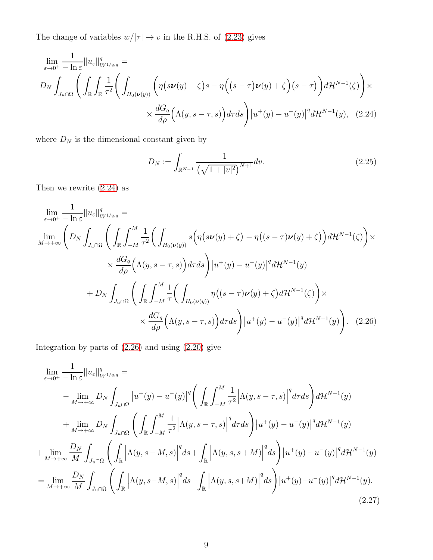The change of variables  $w/|\tau| \to v$  in the R.H.S. of [\(2.23\)](#page-7-1) gives

$$
\lim_{\varepsilon \to 0^{+}} \frac{1}{-\ln \varepsilon} \|u_{\varepsilon}\|_{W^{1/q,q}}^{q} =
$$
\n
$$
D_{N} \int_{J_{u} \cap \Omega} \left( \int_{\mathbb{R}} \int_{\mathbb{R}} \frac{1}{\tau^{2}} \left( \int_{H_{0}(\nu(y))} \left( \eta(s\nu(y) + \zeta)s - \eta\left( (s-\tau)\nu(y) + \zeta \right) (s-\tau) \right) d\mathcal{H}^{N-1}(\zeta) \right) \times
$$
\n
$$
\times \frac{dG_{q}}{d\rho} \left( \Lambda(y,s-\tau,s) \right) d\tau ds \right) |u^{+}(y) - u^{-}(y)|^{q} d\mathcal{H}^{N-1}(y), \quad (2.24)
$$

where  $\mathcal{D}_N$  is the dimensional constant given by

<span id="page-8-3"></span><span id="page-8-1"></span><span id="page-8-0"></span>
$$
D_N := \int_{\mathbb{R}^{N-1}} \frac{1}{\left(\sqrt{1+|v|^2}\right)^{N+1}} dv.
$$
\n(2.25)

Then we rewrite [\(2.24\)](#page-8-0) as

$$
\lim_{\varepsilon \to 0^{+}} \frac{1}{-\ln \varepsilon} \|u_{\varepsilon}\|_{W^{1/q,q}}^{q} =
$$
\n
$$
\lim_{M \to +\infty} \left( D_{N} \int_{J_{u} \cap \Omega} \left( \int_{\mathbb{R}} \int_{-M}^{M} \frac{1}{\tau^{2}} \left( \int_{H_{0}(\nu(y))} s \left( \eta(s\nu(y) + \zeta) - \eta((s-\tau)\nu(y) + \zeta \right) \right) d\mathcal{H}^{N-1}(\zeta) \right) \times
$$
\n
$$
\times \frac{dG_{q}}{d\rho} \left( \Lambda(y, s-\tau, s) \right) d\tau ds \right) |u^{+}(y) - u^{-}(y)|^{q} d\mathcal{H}^{N-1}(y)
$$
\n
$$
+ D_{N} \int_{J_{u} \cap \Omega} \left( \int_{\mathbb{R}} \int_{-M}^{M} \frac{1}{\tau} \left( \int_{H_{0}(\nu(y))} \eta((s-\tau)\nu(y) + \zeta) d\mathcal{H}^{N-1}(\zeta) \right) \times
$$
\n
$$
\times \frac{dG_{q}}{d\rho} \left( \Lambda(y, s-\tau, s) \right) d\tau ds \right) |u^{+}(y) - u^{-}(y)|^{q} d\mathcal{H}^{N-1}(y) \right). \quad (2.26)
$$

Integration by parts of [\(2.26\)](#page-8-1) and using [\(2.20\)](#page-7-2) give

<span id="page-8-2"></span>
$$
\lim_{\varepsilon \to 0^{+}} \frac{1}{-\ln \varepsilon} \|u_{\varepsilon}\|_{W^{1/q,q}}^{q} =
$$
\n
$$
- \lim_{M \to +\infty} D_{N} \int_{J_{u} \cap \Omega} |u^{+}(y) - u^{-}(y)|^{q} \left( \int_{\mathbb{R}} \int_{-M}^{M} \frac{1}{\tau^{2}} \Big| \Lambda(y, s - \tau, s) \Big|^{q} d\tau ds \right) d\mathcal{H}^{N-1}(y)
$$
\n
$$
+ \lim_{M \to +\infty} D_{N} \int_{J_{u} \cap \Omega} \left( \int_{\mathbb{R}} \int_{-M}^{M} \frac{1}{\tau^{2}} \Big| \Lambda(y, s - \tau, s) \Big|^{q} d\tau ds \right) |u^{+}(y) - u^{-}(y)|^{q} d\mathcal{H}^{N-1}(y)
$$
\n
$$
+ \lim_{M \to +\infty} \frac{D_{N}}{M} \int_{J_{u} \cap \Omega} \left( \int_{\mathbb{R}} \Big| \Lambda(y, s - M, s) \Big|^{q} ds + \int_{\mathbb{R}} \Big| \Lambda(y, s, s + M) \Big|^{q} ds \right) |u^{+}(y) - u^{-}(y)|^{q} d\mathcal{H}^{N-1}(y)
$$
\n
$$
= \lim_{M \to +\infty} \frac{D_{N}}{M} \int_{J_{u} \cap \Omega} \left( \int_{\mathbb{R}} \Big| \Lambda(y, s - M, s) \Big|^{q} ds + \int_{\mathbb{R}} \Big| \Lambda(y, s, s + M) \Big|^{q} ds \right) |u^{+}(y) - u^{-}(y)|^{q} d\mathcal{H}^{N-1}(y).
$$
\n(2.27)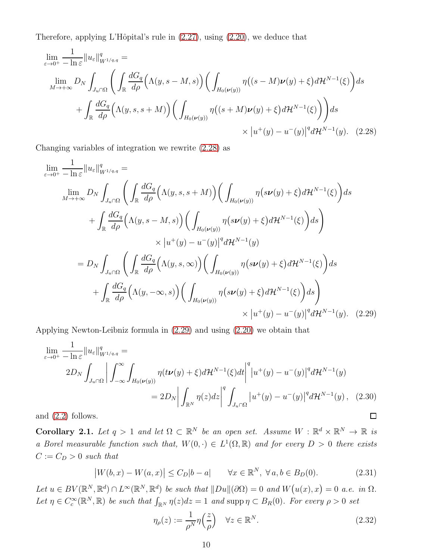Therefore, applying L'Hôpital's rule in  $(2.27)$ , using  $(2.20)$ , we deduce that

$$
\lim_{\varepsilon \to 0^{+}} \frac{1}{-\ln \varepsilon} \|u_{\varepsilon}\|_{W^{1/q,q}}^{q} =
$$
\n
$$
\lim_{M \to +\infty} D_{N} \int_{J_{u} \cap \Omega} \left( \int_{\mathbb{R}} \frac{dG_{q}}{d\rho} \left( \Lambda(y, s - M, s) \right) \left( \int_{H_{0}(\nu(y))} \eta \left( (s - M) \nu(y) + \xi \right) d\mathcal{H}^{N-1}(\xi) \right) ds + \int_{\mathbb{R}} \frac{dG_{q}}{d\rho} \left( \Lambda(y, s, s + M) \right) \left( \int_{H_{0}(\nu(y))} \eta \left( (s + M) \nu(y) + \xi \right) d\mathcal{H}^{N-1}(\xi) \right) ds \times |u^{+}(y) - u^{-}(y)|^{q} d\mathcal{H}^{N-1}(y). \quad (2.28)
$$

Changing variables of integration we rewrite [\(2.28\)](#page-9-0) as

<span id="page-9-0"></span>
$$
\lim_{\varepsilon \to 0^{+}} \frac{1}{-\ln \varepsilon} \|u_{\varepsilon}\|_{W^{1/q,q}}^{q} =
$$
\n
$$
\lim_{M \to +\infty} D_{N} \int_{J_{u} \cap \Omega} \left( \int_{\mathbb{R}} \frac{dG_{q}}{d\rho} \left( \Lambda(y,s,s+M) \right) \left( \int_{H_{0}(\nu(y))} \eta(s\nu(y) + \xi) d\mathcal{H}^{N-1}(\xi) \right) ds \right.
$$
\n
$$
+ \int_{\mathbb{R}} \frac{dG_{q}}{d\rho} \left( \Lambda(y,s-M,s) \right) \left( \int_{H_{0}(\nu(y))} \eta(s\nu(y) + \xi) d\mathcal{H}^{N-1}(\xi) \right) ds \right)
$$
\n
$$
\times |u^{+}(y) - u^{-}(y)|^{q} d\mathcal{H}^{N-1}(y)
$$
\n
$$
= D_{N} \int_{J_{u} \cap \Omega} \left( \int_{\mathbb{R}} \frac{dG_{q}}{d\rho} \left( \Lambda(y,s,\infty) \right) \left( \int_{H_{0}(\nu(y))} \eta(s\nu(y) + \xi) d\mathcal{H}^{N-1}(\xi) \right) ds \right.
$$
\n
$$
+ \int_{\mathbb{R}} \frac{dG_{q}}{d\rho} \left( \Lambda(y,-\infty,s) \right) \left( \int_{H_{0}(\nu(y))} \eta(s\nu(y) + \xi) d\mathcal{H}^{N-1}(\xi) \right) ds \right)
$$
\n
$$
\times |u^{+}(y) - u^{-}(y)|^{q} d\mathcal{H}^{N-1}(y). \quad (2.29)
$$

Applying Newton-Leibniz formula in [\(2.29\)](#page-9-1) and using [\(2.20\)](#page-7-2) we obtain that

$$
\lim_{\varepsilon \to 0^{+}} \frac{1}{-\ln \varepsilon} \|u_{\varepsilon}\|_{W^{1/q,q}}^{q} =
$$
\n
$$
2D_{N} \int_{J_{u} \cap \Omega} \left| \int_{-\infty}^{\infty} \int_{H_{0}(\nu(y))} \eta(t\nu(y) + \xi) d\mathcal{H}^{N-1}(\xi) dt \right|^{q} |u^{+}(y) - u^{-}(y)|^{q} d\mathcal{H}^{N-1}(y)
$$
\n
$$
= 2D_{N} \left| \int_{\mathbb{R}^{N}} \eta(z) dz \right|^{q} \int_{J_{u} \cap \Omega} |u^{+}(y) - u^{-}(y)|^{q} d\mathcal{H}^{N-1}(y), \quad (2.30)
$$
\n
$$
\text{and } (2.2) \text{ follows.}
$$

and [\(2.2\)](#page-4-7) follows.

<span id="page-9-3"></span>**Corollary 2.1.** Let  $q > 1$  and let  $\Omega \subset \mathbb{R}^N$  be an open set. Assume  $W : \mathbb{R}^d \times \mathbb{R}^N \to \mathbb{R}$  is a Borel measurable function such that,  $W(0, \cdot) \in L^1(\Omega, \mathbb{R})$  and for every  $D > 0$  there exists  $C := C_D > 0$  such that

<span id="page-9-2"></span>
$$
\left|W(b,x) - W(a,x)\right| \le C_D|b-a| \qquad \forall x \in \mathbb{R}^N, \ \forall a, b \in B_D(0). \tag{2.31}
$$

Let  $u \in BV(\mathbb{R}^N, \mathbb{R}^d) \cap L^{\infty}(\mathbb{R}^N, \mathbb{R}^d)$  be such that  $||Du||(\partial \Omega) = 0$  and  $W(u(x), x) = 0$  a.e. in  $\Omega$ . Let  $\eta \in C_c^{\infty}(\mathbb{R}^N, \mathbb{R})$  be such that  $\int_{\mathbb{R}^N} \eta(z) dz = 1$  and supp  $\eta \subset B_R(0)$ . For every  $\rho > 0$  set

<span id="page-9-1"></span>
$$
\eta_{\rho}(z) := \frac{1}{\rho^N} \eta\left(\frac{z}{\rho}\right) \quad \forall z \in \mathbb{R}^N.
$$
\n(2.32)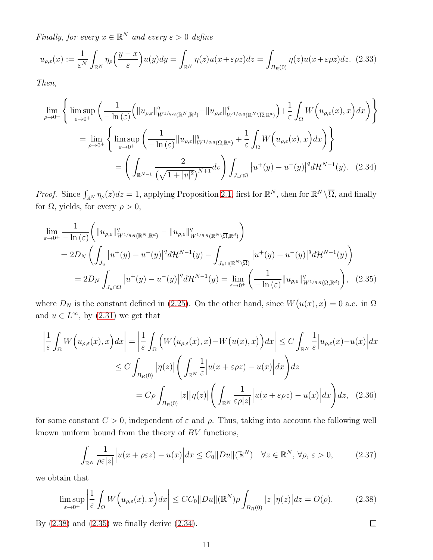Finally, for every  $x \in \mathbb{R}^N$  and every  $\varepsilon > 0$  define

$$
u_{\rho,\varepsilon}(x) := \frac{1}{\varepsilon^N} \int_{\mathbb{R}^N} \eta_\rho \Big( \frac{y-x}{\varepsilon} \Big) u(y) dy = \int_{\mathbb{R}^N} \eta(z) u(x + \varepsilon \rho z) dz = \int_{B_R(0)} \eta(z) u(x + \varepsilon \rho z) dz. \tag{2.33}
$$

Then,

<span id="page-10-2"></span>
$$
\lim_{\rho \to 0^{+}} \left\{ \limsup_{\varepsilon \to 0^{+}} \left( \frac{1}{-\ln(\varepsilon)} \left( \|u_{\rho,\varepsilon}\|_{W^{1/q,q}(\mathbb{R}^{N},\mathbb{R}^{d})}^{q} - \|u_{\rho,\varepsilon}\|_{W^{1/q,q}(\mathbb{R}^{N}\setminus\overline{\Omega},\mathbb{R}^{d})}^{q} \right) + \frac{1}{\varepsilon} \int_{\Omega} W\left(u_{\rho,\varepsilon}(x),x\right) dx \right) \right\}
$$
\n
$$
= \lim_{\rho \to 0^{+}} \left\{ \limsup_{\varepsilon \to 0^{+}} \left( \frac{1}{-\ln(\varepsilon)} \|u_{\rho,\varepsilon}\|_{W^{1/q,q}(\Omega,\mathbb{R}^{d})}^{q} + \frac{1}{\varepsilon} \int_{\Omega} W\left(u_{\rho,\varepsilon}(x),x\right) dx \right) \right\}
$$
\n
$$
= \left( \int_{\mathbb{R}^{N-1}} \frac{2}{\left( \sqrt{1+|v|^{2}} \right)^{N+1}} dv \right) \int_{J_{u}\cap\Omega} |u^{+}(y) - u^{-}(y)|^{q} d\mathcal{H}^{N-1}(y). \quad (2.34)
$$

*Proof.* Since  $\int_{\mathbb{R}^N} \eta_\rho(z) dz = 1$ , applying Proposition [2.1,](#page-3-4) first for  $\mathbb{R}^N$ , then for  $\mathbb{R}^N \setminus \overline{\Omega}$ , and finally for  $\Omega$ , yields, for every  $\rho > 0$ ,

$$
\lim_{\varepsilon \to 0^{+}} \frac{1}{-\ln(\varepsilon)} \Big( \|u_{\rho,\varepsilon}\|_{W^{1/q,q}(\mathbb{R}^{N},\mathbb{R}^{d})}^{q} - \|u_{\rho,\varepsilon}\|_{W^{1/q,q}(\mathbb{R}^{N}\setminus\overline{\Omega},\mathbb{R}^{d})}^{q} \Big)
$$
\n
$$
= 2D_{N} \left( \int_{J_{u}} |u^{+}(y) - u^{-}(y)|^{q} d\mathcal{H}^{N-1}(y) - \int_{J_{u} \cap(\mathbb{R}^{N}\setminus\overline{\Omega})} |u^{+}(y) - u^{-}(y)|^{q} d\mathcal{H}^{N-1}(y) \right)
$$
\n
$$
= 2D_{N} \int_{J_{u} \cap \Omega} |u^{+}(y) - u^{-}(y)|^{q} d\mathcal{H}^{N-1}(y) = \lim_{\varepsilon \to 0^{+}} \left( \frac{1}{-\ln(\varepsilon)} \|u_{\rho,\varepsilon}\|_{W^{1/q,q}(\Omega,\mathbb{R}^{d})}^{q} \right), \quad (2.35)
$$

where  $D_N$  is the constant defined in [\(2.25\)](#page-8-3). On the other hand, since  $W(u(x), x) = 0$  a.e. in  $\Omega$ and  $u \in L^{\infty}$ , by  $(2.31)$  we get that

$$
\left| \frac{1}{\varepsilon} \int_{\Omega} W\Big(u_{\rho,\varepsilon}(x),x\Big) dx \right| = \left| \frac{1}{\varepsilon} \int_{\Omega} \Big( W\big(u_{\rho,\varepsilon}(x),x\big) - W\big(u(x),x\big) \Big) dx \right| \leq C \int_{\mathbb{R}^N} \frac{1}{\varepsilon} \Big| u_{\rho,\varepsilon}(x) - u(x) \Big| dx
$$
  
\n
$$
\leq C \int_{B_R(0)} |\eta(z)| \Big( \int_{\mathbb{R}^N} \frac{1}{\varepsilon} \Big| u(x + \varepsilon \rho z) - u(x) \Big| dx \Big) dz
$$
  
\n
$$
= C \rho \int_{B_R(0)} |z| |\eta(z)| \Big( \int_{\mathbb{R}^N} \frac{1}{\varepsilon \rho |z|} \Big| u(x + \varepsilon \rho z) - u(x) \Big| dx \Big) dz, \quad (2.36)
$$

for some constant  $C > 0$ , independent of  $\varepsilon$  and  $\rho$ . Thus, taking into account the following well known uniform bound from the theory of BV functions,

<span id="page-10-3"></span>
$$
\int_{\mathbb{R}^N} \frac{1}{\rho \varepsilon |z|} \left| u(x + \rho \varepsilon z) - u(x) \right| dx \le C_0 \|Du\|(\mathbb{R}^N) \quad \forall z \in \mathbb{R}^N, \forall \rho, \varepsilon > 0,
$$
\n(2.37)

we obtain that

<span id="page-10-0"></span>
$$
\limsup_{\varepsilon \to 0^+} \left| \frac{1}{\varepsilon} \int_{\Omega} W\Big(u_{\rho,\varepsilon}(x),x\Big) dx \right| \le CC_0 \|Du\| (\mathbb{R}^N) \rho \int_{B_R(0)} |z| |\eta(z)| dz = O(\rho). \tag{2.38}
$$

By [\(2.38\)](#page-10-0) and [\(2.35\)](#page-10-1) we finally derive [\(2.34\)](#page-10-2).

<span id="page-10-1"></span> $\Box$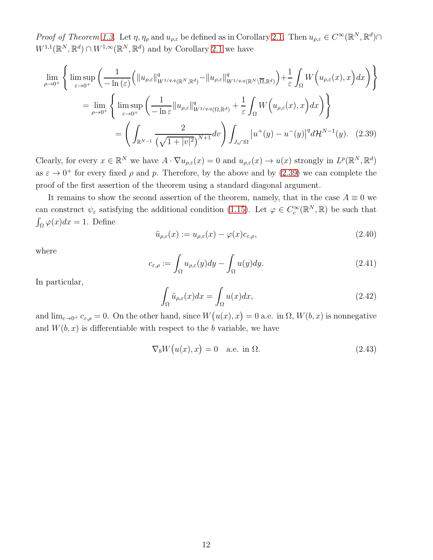Proof of Theorem [1.3.](#page-3-0) Let  $\eta$ ,  $\eta_{\rho}$  and  $u_{\rho,\varepsilon}$  be defined as in Corollary [2.1.](#page-9-3) Then  $u_{\rho,\varepsilon} \in C^{\infty}(\mathbb{R}^N, \mathbb{R}^d) \cap$  $W^{1,1}(\mathbb{R}^N,\mathbb{R}^d)\cap W^{1,\infty}(\mathbb{R}^N,\mathbb{R}^d)$  and by Corollary [2.1](#page-9-3) we have

$$
\lim_{\rho \to 0^{+}} \left\{ \limsup_{\varepsilon \to 0^{+}} \left( \frac{1}{-\ln(\varepsilon)} \left( \|u_{\rho,\varepsilon}\|_{W^{1/q,q}(\mathbb{R}^{N},\mathbb{R}^{d})}^{q} - \|u_{\rho,\varepsilon}\|_{W^{1/q,q}(\mathbb{R}^{N}\setminus\overline{\Omega},\mathbb{R}^{d})}^{q} \right) + \frac{1}{\varepsilon} \int_{\Omega} W\left(u_{\rho,\varepsilon}(x),x\right) dx \right) \right\}
$$
\n
$$
= \lim_{\rho \to 0^{+}} \left\{ \limsup_{\varepsilon \to 0^{+}} \left( \frac{1}{-\ln \varepsilon} \|u_{\rho,\varepsilon}\|_{W^{1/q,q}(\Omega,\mathbb{R}^{d})}^{q} + \frac{1}{\varepsilon} \int_{\Omega} W\left(u_{\rho,\varepsilon}(x),x\right) dx \right) \right\}
$$
\n
$$
= \left( \int_{\mathbb{R}^{N-1}} \frac{2}{\left( \sqrt{1+|v|^{2}} \right)^{N+1}} dv \right) \int_{J_{u}\cap\Omega} |u^{+}(y) - u^{-}(y)|^{q} d\mathcal{H}^{N-1}(y). \quad (2.39)
$$

Clearly, for every  $x \in \mathbb{R}^N$  we have  $A \cdot \nabla u_{\rho,\varepsilon}(x) = 0$  and  $u_{\rho,\varepsilon}(x) \to u(x)$  strongly in  $L^p(\mathbb{R}^N, \mathbb{R}^d)$ as  $\varepsilon \to 0^+$  for every fixed  $\rho$  and p. Therefore, by the above and by [\(2.39\)](#page-11-0) we can complete the proof of the first assertion of the theorem using a standard diagonal argument.

It remains to show the second assertion of the theorem, namely, that in the case  $A \equiv 0$  we can construct  $\psi_{\varepsilon}$  satisfying the additional condition [\(1.15\)](#page-3-5). Let  $\varphi \in C_c^{\infty}(\mathbb{R}^N, \mathbb{R})$  be such that  $\int_{\Omega} \varphi(x) dx = 1$ . Define

<span id="page-11-1"></span><span id="page-11-0"></span>
$$
\tilde{u}_{\rho,\varepsilon}(x) := u_{\rho,\varepsilon}(x) - \varphi(x)c_{\varepsilon,\rho},\tag{2.40}
$$

where

$$
c_{\varepsilon,\rho} := \int_{\Omega} u_{\rho,\varepsilon}(y) dy - \int_{\Omega} u(y) dy.
$$
 (2.41)

In particular,

$$
\int_{\Omega} \tilde{u}_{\rho,\varepsilon}(x)dx = \int_{\Omega} u(x)dx,\tag{2.42}
$$

and  $\lim_{\varepsilon \to 0^+} c_{\varepsilon,\rho} = 0$ . On the other hand, since  $W(u(x), x) = 0$  a.e. in  $\Omega, W(b, x)$  is nonnegative and  $W(b, x)$  is differentiable with respect to the b variable, we have

<span id="page-11-2"></span>
$$
\nabla_b W(u(x), x) = 0 \quad \text{a.e. in } \Omega. \tag{2.43}
$$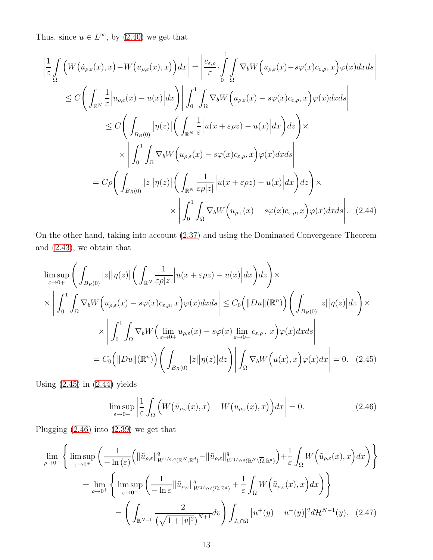Thus, since  $u \in L^{\infty}$ , by  $(2.40)$  we get that

$$
\left| \frac{1}{\varepsilon} \int_{\Omega} \left( W(\tilde{u}_{\rho,\varepsilon}(x),x) - W(u_{\rho,\varepsilon}(x),x) \right) dx \right| = \left| \frac{c_{\varepsilon,\rho}}{\varepsilon} \cdot \int_{0}^{1} \int_{\Omega} \nabla_{b} W(u_{\rho,\varepsilon}(x) - s\varphi(x)c_{\varepsilon,\rho},x) \varphi(x) dx ds \right|
$$
  
\n
$$
\leq C \left( \int_{\mathbb{R}^{N}} \frac{1}{\varepsilon} \left| u_{\rho,\varepsilon}(x) - u(x) \right| dx \right) \left| \int_{0}^{1} \int_{\Omega} \nabla_{b} W(u_{\rho,\varepsilon}(x) - s\varphi(x)c_{\varepsilon,\rho},x) \varphi(x) dx ds \right|
$$
  
\n
$$
\leq C \left( \int_{B_{R}(0)} |\eta(z)| \left( \int_{\mathbb{R}^{N}} \frac{1}{\varepsilon} \left| u(x + \varepsilon \rho z) - u(x) \right| dx \right) dz \right) \times
$$
  
\n
$$
\times \left| \int_{0}^{1} \int_{\Omega} \nabla_{b} W(u_{\rho,\varepsilon}(x) - s\varphi(x)c_{\varepsilon,\rho},x) \varphi(x) dx ds \right|
$$
  
\n
$$
= C \rho \left( \int_{B_{R}(0)} |z| |\eta(z)| \left( \int_{\mathbb{R}^{N}} \frac{1}{\varepsilon \rho |z|} \left| u(x + \varepsilon \rho z) - u(x) \right| dx \right) dz \right) \times
$$
  
\n
$$
\times \left| \int_{0}^{1} \int_{\Omega} \nabla_{b} W(u_{\rho,\varepsilon}(x) - s\varphi(x)c_{\varepsilon,\rho},x) \varphi(x) dx ds \right|.
$$
 (2.44)

On the other hand, taking into account [\(2.37\)](#page-10-3) and using the Dominated Convergence Theorem and [\(2.43\)](#page-11-2), we obtain that

$$
\limsup_{\varepsilon \to 0+} \left( \int_{B_R(0)} |z| |\eta(z)| \left( \int_{\mathbb{R}^N} \frac{1}{\varepsilon \rho |z|} \left| u(x + \varepsilon \rho z) - u(x) \right| dx \right) dz \right) \times
$$
\n
$$
\times \left| \int_0^1 \int_{\Omega} \nabla_b W \left( u_{\rho, \varepsilon}(x) - s \varphi(x) c_{\varepsilon, \rho}, x \right) \varphi(x) dx ds \right| \leq C_0 \left( \|Du\|(\mathbb{R}^n) \right) \left( \int_{B_R(0)} |z| |\eta(z)| dz \right) \times
$$
\n
$$
\times \left| \int_0^1 \int_{\Omega} \nabla_b W \left( \lim_{\varepsilon \to 0+} u_{\rho, \varepsilon}(x) - s \varphi(x) \lim_{\varepsilon \to 0+} c_{\varepsilon, \rho}, x \right) \varphi(x) dx ds \right|
$$
\n
$$
= C_0 \left( \|Du\|(\mathbb{R}^n) \right) \left( \int_{B_R(0)} |z| |\eta(z)| dz \right) \left| \int_{\Omega} \nabla_b W \left( u(x), x \right) \varphi(x) dx \right| = 0. \quad (2.45)
$$

Using  $(2.45)$  in  $(2.44)$  yields

<span id="page-12-3"></span><span id="page-12-2"></span><span id="page-12-1"></span><span id="page-12-0"></span>
$$
\limsup_{\varepsilon \to 0+} \left| \frac{1}{\varepsilon} \int_{\Omega} \left( W\big(\tilde{u}_{\rho,\varepsilon}(x), x\big) - W\big(u_{\rho,\varepsilon}(x), x\big) \right) dx \right| = 0. \tag{2.46}
$$

Plugging [\(2.46\)](#page-12-2) into [\(2.39\)](#page-11-0) we get that

$$
\lim_{\rho \to 0^{+}} \left\{ \limsup_{\varepsilon \to 0^{+}} \left( \frac{1}{-\ln(\varepsilon)} \left( \|\tilde{u}_{\rho,\varepsilon}\|_{W^{1/q,q}(\mathbb{R}^{N},\mathbb{R}^{d})}^{q} - \|\tilde{u}_{\rho,\varepsilon}\|_{W^{1/q,q}(\mathbb{R}^{N}\setminus\overline{\Omega},\mathbb{R}^{d})}^{q} \right) + \frac{1}{\varepsilon} \int_{\Omega} W\left(\tilde{u}_{\rho,\varepsilon}(x),x\right) dx \right) \right\}
$$
\n
$$
= \lim_{\rho \to 0^{+}} \left\{ \limsup_{\varepsilon \to 0^{+}} \left( \frac{1}{-\ln \varepsilon} \|\tilde{u}_{\rho,\varepsilon}\|_{W^{1/q,q}(\Omega,\mathbb{R}^{d})}^{q} + \frac{1}{\varepsilon} \int_{\Omega} W\left(\tilde{u}_{\rho,\varepsilon}(x),x\right) dx \right) \right\}
$$
\n
$$
= \left( \int_{\mathbb{R}^{N-1}} \frac{2}{\left(\sqrt{1+|v|^{2}}\right)^{N+1}} dv \right) \int_{J_{u}\cap\Omega} |u^{+}(y) - u^{-}(y)|^{q} d\mathcal{H}^{N-1}(y). \quad (2.47)
$$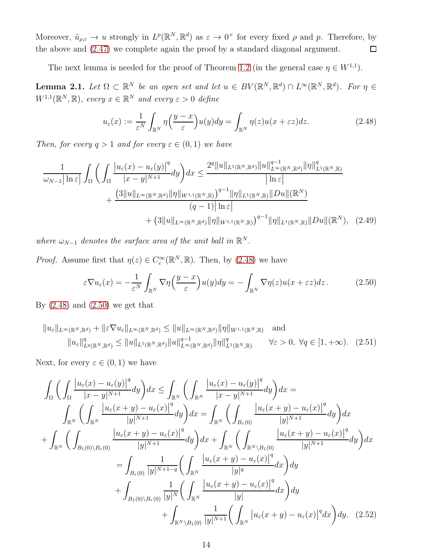Moreover,  $\tilde{u}_{\rho,\varepsilon} \to u$  strongly in  $L^p(\mathbb{R}^N,\mathbb{R}^d)$  as  $\varepsilon \to 0^+$  for every fixed  $\rho$  and p. Therefore, by the above and [\(2.47\)](#page-12-3) we complete again the proof by a standard diagonal argument.  $\Box$ 

The next lemma is needed for the proof of Theorem [1.2](#page-1-0) (in the general case  $\eta \in W^{1,1}$ ).

<span id="page-13-5"></span>**Lemma 2.1.** Let  $\Omega \subset \mathbb{R}^N$  be an open set and let  $u \in BV(\mathbb{R}^N, \mathbb{R}^d) \cap L^{\infty}(\mathbb{R}^N, \mathbb{R}^d)$ . For  $\eta \in$  $W^{1,1}(\mathbb{R}^N,\mathbb{R})$ , every  $x \in \mathbb{R}^N$  and every  $\varepsilon > 0$  define

<span id="page-13-4"></span><span id="page-13-0"></span>
$$
u_{\varepsilon}(x) := \frac{1}{\varepsilon^N} \int_{\mathbb{R}^N} \eta\left(\frac{y-x}{\varepsilon}\right) u(y) dy = \int_{\mathbb{R}^N} \eta(z) u(x + \varepsilon z) dz.
$$
 (2.48)

Then, for every  $q > 1$  and for every  $\varepsilon \in (0, 1)$  we have

$$
\frac{1}{\omega_{N-1}|\ln \varepsilon|} \int_{\Omega} \bigg( \int_{\Omega} \frac{|u_{\varepsilon}(x) - u_{\varepsilon}(y)|^{q}}{|x - y|^{N+1}} dy \bigg) dx \leq \frac{2^{q} \|u\|_{L^{1}(\mathbb{R}^{N}, \mathbb{R}^{d})} \|u\|_{L^{\infty}(\mathbb{R}^{N}, \mathbb{R}^{d})}^{q-1} \|\eta\|_{L^{1}(\mathbb{R}^{N}, \mathbb{R})}}{\ln \varepsilon} + \frac{\big(3\|u\|_{L^{\infty}(\mathbb{R}^{N}, \mathbb{R}^{d})} \|\eta\|_{W^{1,1}(\mathbb{R}^{N}, \mathbb{R})} \big)^{q-1} \|\eta\|_{L^{1}(\mathbb{R}^{N}, \mathbb{R})} \|Du\|(\mathbb{R}^{N})}{(q-1) |\ln \varepsilon|} + \big(3\|u\|_{L^{\infty}(\mathbb{R}^{N}, \mathbb{R}^{d})} \|\eta\|_{W^{1,1}(\mathbb{R}^{N}, \mathbb{R})} \big)^{q-1} \|\eta\|_{L^{1}(\mathbb{R}^{N}, \mathbb{R})} \|Du\|(\mathbb{R}^{N}), \quad (2.49)
$$

where  $\omega_{N-1}$  denotes the surface area of the unit ball in  $\mathbb{R}^N$ .

*Proof.* Assume first that  $\eta(z) \in C_c^{\infty}(\mathbb{R}^N, \mathbb{R})$ . Then, by [\(2.48\)](#page-13-0) we have

<span id="page-13-2"></span><span id="page-13-1"></span>
$$
\varepsilon \nabla u_{\varepsilon}(x) = -\frac{1}{\varepsilon^N} \int_{\mathbb{R}^N} \nabla \eta \left( \frac{y - x}{\varepsilon} \right) u(y) dy = -\int_{\mathbb{R}^N} \nabla \eta(z) u(x + \varepsilon z) dz. \tag{2.50}
$$

By  $(2.48)$  and  $(2.50)$  we get that

$$
||u_{\varepsilon}||_{L^{\infty}(\mathbb{R}^{N},\mathbb{R}^{d})} + ||\varepsilon \nabla u_{\varepsilon}||_{L^{\infty}(\mathbb{R}^{N},\mathbb{R}^{d})} \leq ||u||_{L^{\infty}(\mathbb{R}^{N},\mathbb{R}^{d})} ||\eta||_{W^{1,1}(\mathbb{R}^{N},\mathbb{R})} \text{ and}
$$
  

$$
||u_{\varepsilon}||_{L^{q}(\mathbb{R}^{N},\mathbb{R}^{d})}^{q} \leq ||u||_{L^{1}(\mathbb{R}^{N},\mathbb{R}^{d})} ||u||_{L^{\infty}(\mathbb{R}^{N},\mathbb{R}^{d})}^{q-1} ||\eta||_{L^{1}(\mathbb{R}^{N},\mathbb{R})}^{q} \qquad \forall \varepsilon > 0, \forall q \in [1,+\infty).
$$
 (2.51)

Next, for every  $\varepsilon \in (0,1)$  we have

<span id="page-13-3"></span>
$$
\int_{\Omega} \left( \int_{\Omega} \frac{|u_{\varepsilon}(x) - u_{\varepsilon}(y)|^{q}}{|x - y|^{N+1}} dy \right) dx \leq \int_{\mathbb{R}^{N}} \left( \int_{\mathbb{R}^{N}} \frac{|u_{\varepsilon}(x) - u_{\varepsilon}(y)|^{q}}{|x - y|^{N+1}} dy \right) dx =
$$
\n
$$
\int_{\mathbb{R}^{N}} \left( \int_{\mathbb{R}^{N}} \frac{|u_{\varepsilon}(x + y) - u_{\varepsilon}(x)|^{q}}{|y|^{N+1}} dy \right) dx = \int_{\mathbb{R}^{N}} \left( \int_{B_{\varepsilon}(0)} \frac{|u_{\varepsilon}(x + y) - u_{\varepsilon}(x)|^{q}}{|y|^{N+1}} dy \right) dx
$$
\n
$$
+ \int_{\mathbb{R}^{N}} \left( \int_{B_{1}(0) \setminus B_{\varepsilon}(0)} \frac{|u_{\varepsilon}(x + y) - u_{\varepsilon}(x)|^{q}}{|y|^{N+1}} dy \right) dx + \int_{\mathbb{R}^{N}} \left( \int_{\mathbb{R}^{N} \setminus B_{1}(0)} \frac{|u_{\varepsilon}(x + y) - u_{\varepsilon}(x)|^{q}}{|y|^{N+1}} dy \right) dx
$$
\n
$$
= \int_{B_{\varepsilon}(0)} \frac{1}{|y|^{N+1-q}} \left( \int_{\mathbb{R}^{N}} \frac{|u_{\varepsilon}(x + y) - u_{\varepsilon}(x)|^{q}}{|y|^{q}} dx \right) dy + \int_{B_{1}(0) \setminus B_{\varepsilon}(0)} \frac{1}{|y|^{N}} \left( \int_{\mathbb{R}^{N}} \frac{|u_{\varepsilon}(x + y) - u_{\varepsilon}(x)|^{q}}{|y|} dx \right) dy + \int_{\mathbb{R}^{N} \setminus B_{1}(0)} \frac{1}{|y|^{N+1}} \left( \int_{\mathbb{R}^{N}} |u_{\varepsilon}(x + y) - u_{\varepsilon}(x)|^{q} dx \right) dy.
$$
\n(2.52)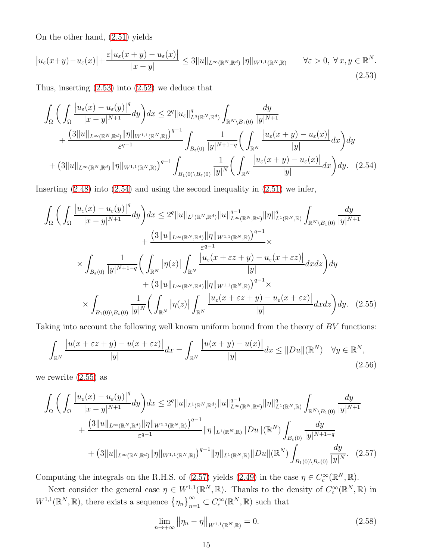On the other hand, [\(2.51\)](#page-13-2) yields

<span id="page-14-0"></span>
$$
\left| u_{\varepsilon}(x+y) - u_{\varepsilon}(x) \right| + \frac{\varepsilon |u_{\varepsilon}(x+y) - u_{\varepsilon}(x)|}{|x-y|} \le 3 \|u\|_{L^{\infty}(\mathbb{R}^N, \mathbb{R}^d)} \|\eta\|_{W^{1,1}(\mathbb{R}^N, \mathbb{R})} \qquad \forall \varepsilon > 0, \ \forall \, x, y \in \mathbb{R}^N.
$$
\n(2.53)

Thus, inserting [\(2.53\)](#page-14-0) into [\(2.52\)](#page-13-3) we deduce that

$$
\int_{\Omega} \bigg( \int_{\Omega} \frac{|u_{\varepsilon}(x) - u_{\varepsilon}(y)|^{q}}{|x - y|^{N+1}} dy \bigg) dx \leq 2^{q} \|u_{\varepsilon}\|_{L^{q}(\mathbb{R}^{N}, \mathbb{R}^{d})}^{q} \int_{\mathbb{R}^{N} \setminus B_{1}(0)} \frac{dy}{|y|^{N+1}} \n+ \frac{(3\|u\|_{L^{\infty}(\mathbb{R}^{N}, \mathbb{R}^{d})} \|\eta\|_{W^{1,1}(\mathbb{R}^{N}, \mathbb{R})})^{q-1}}{\varepsilon^{q-1}} \int_{B_{\varepsilon}(0)} \frac{1}{|y|^{N+1-q}} \bigg( \int_{\mathbb{R}^{N}} \frac{|u_{\varepsilon}(x + y) - u_{\varepsilon}(x)|}{|y|} dx \bigg) dy \n+ (3\|u\|_{L^{\infty}(\mathbb{R}^{N}, \mathbb{R}^{d})} \|\eta\|_{W^{1,1}(\mathbb{R}^{N}, \mathbb{R})})^{q-1} \int_{B_{1}(0) \setminus B_{\varepsilon}(0)} \frac{1}{|y|^{N}} \bigg( \int_{\mathbb{R}^{N}} \frac{|u_{\varepsilon}(x + y) - u_{\varepsilon}(x)|}{|y|} dx \bigg) dy. \tag{2.54}
$$

Inserting  $(2.48)$  into  $(2.54)$  and using the second inequality in  $(2.51)$  we infer,

<span id="page-14-1"></span>
$$
\int_{\Omega} \left( \int_{\Omega} \frac{|u_{\varepsilon}(x) - u_{\varepsilon}(y)|^{q}}{|x - y|^{N+1}} dy \right) dx \leq 2^{q} \|u\|_{L^{1}(\mathbb{R}^{N}, \mathbb{R}^{d})} \|u\|_{L^{\infty}(\mathbb{R}^{N}, \mathbb{R}^{d})}^{q - 1} \|f\|_{L^{1}(\mathbb{R}^{N}, \mathbb{R})}^{q} \int_{\mathbb{R}^{N} \setminus B_{1}(0)} \frac{dy}{|y|^{N+1}} + \frac{(3 \|u\|_{L^{\infty}(\mathbb{R}^{N}, \mathbb{R}^{d})} \|\eta\|_{W^{1,1}(\mathbb{R}^{N}, \mathbb{R})})^{q - 1}}{\varepsilon^{q - 1}} \times \int_{B_{\varepsilon}(0)} \frac{1}{|y|^{N+1-q}} \left( \int_{\mathbb{R}^{N}} |\eta(z)| \int_{\mathbb{R}^{N}} \frac{|u_{\varepsilon}(x + \varepsilon z + y) - u_{\varepsilon}(x + \varepsilon z)|}{|y|} dxdz \right) dy + (3 \|u\|_{L^{\infty}(\mathbb{R}^{N}, \mathbb{R}^{d})} \|\eta\|_{W^{1,1}(\mathbb{R}^{N}, \mathbb{R})})^{q - 1} \times \int_{B_{1}(0) \setminus B_{\varepsilon}(0)} \frac{1}{|y|^{N}} \left( \int_{\mathbb{R}^{N}} |\eta(z)| \int_{\mathbb{R}^{N}} \frac{|u_{\varepsilon}(x + \varepsilon z + y) - u_{\varepsilon}(x + \varepsilon z)|}{|y|} dxdz \right) dy. \tag{2.55}
$$

Taking into account the following well known uniform bound from the theory of BV functions:

$$
\int_{\mathbb{R}^N} \frac{|u(x+\varepsilon z+y)-u(x+\varepsilon z)|}{|y|} dx = \int_{\mathbb{R}^N} \frac{|u(x+y)-u(x)|}{|y|} dx \le \|Du\|(\mathbb{R}^N) \quad \forall y \in \mathbb{R}^N,
$$
\n(2.56)

we rewrite [\(2.55\)](#page-14-2) as

$$
\int_{\Omega} \bigg( \int_{\Omega} \frac{|u_{\varepsilon}(x) - u_{\varepsilon}(y)|^{q}}{|x - y|^{N+1}} dy \bigg) dx \leq 2^{q} \|u\|_{L^{1}(\mathbb{R}^{N}, \mathbb{R}^{d})} \|u\|_{L^{\infty}(\mathbb{R}^{N}, \mathbb{R}^{d})}^{q-1} \| \eta \|_{L^{1}(\mathbb{R}^{N}, \mathbb{R})}^{q} \int_{\mathbb{R}^{N} \setminus B_{1}(0)} \frac{dy}{|y|^{N+1}} + \frac{\big( 3 \|u\|_{L^{\infty}(\mathbb{R}^{N}, \mathbb{R}^{d})} \|\eta\|_{W^{1,1}(\mathbb{R}^{N}, \mathbb{R})} \big)^{q-1}}{\varepsilon^{q-1}} \| \eta \|_{L^{1}(\mathbb{R}^{N}, \mathbb{R})} \|Du\| (\mathbb{R}^{N}) \int_{B_{\varepsilon}(0)} \frac{dy}{|y|^{N+1-q}} + \big( 3 \|u\|_{L^{\infty}(\mathbb{R}^{N}, \mathbb{R}^{d})} \| \eta \|_{W^{1,1}(\mathbb{R}^{N}, \mathbb{R})} \big)^{q-1} \| \eta \|_{L^{1}(\mathbb{R}^{N}, \mathbb{R})} \|Du\| (\mathbb{R}^{N}) \int_{B_{1}(0) \setminus B_{\varepsilon}(0)} \frac{dy}{|y|^{N}}. (2.57)
$$

Computing the integrals on the R.H.S. of [\(2.57\)](#page-14-3) yields [\(2.49\)](#page-13-4) in the case  $\eta \in C_c^{\infty}(\mathbb{R}^N, \mathbb{R})$ .

Next consider the general case  $\eta \in W^{1,1}(\mathbb{R}^N,\mathbb{R})$ . Thanks to the density of  $C_c^{\infty}(\mathbb{R}^N,\mathbb{R})$  in  $W^{1,1}(\mathbb{R}^N,\mathbb{R})$ , there exists a sequence  ${\{\eta_n\}}_{n=1}^{\infty} \subset C_c^{\infty}(\mathbb{R}^N,\mathbb{R})$  such that

<span id="page-14-4"></span><span id="page-14-3"></span><span id="page-14-2"></span>
$$
\lim_{n \to +\infty} \|\eta_n - \eta\|_{W^{1,1}(\mathbb{R}^N, \mathbb{R})} = 0.
$$
\n(2.58)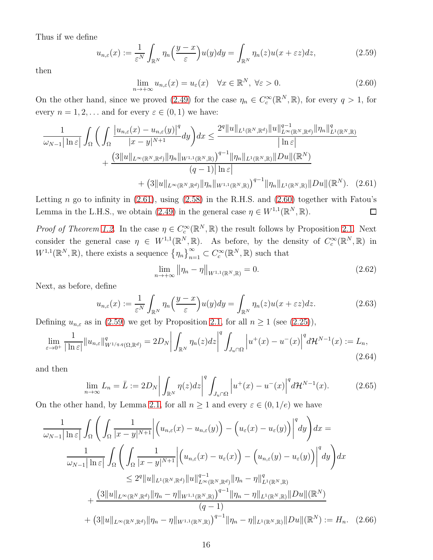Thus if we define

<span id="page-15-2"></span>
$$
u_{n,\varepsilon}(x) := \frac{1}{\varepsilon^N} \int_{\mathbb{R}^N} \eta_n\left(\frac{y-x}{\varepsilon}\right) u(y) dy = \int_{\mathbb{R}^N} \eta_n(z) u(x + \varepsilon z) dz,
$$
 (2.59)

then

<span id="page-15-1"></span>
$$
\lim_{n \to +\infty} u_{n,\varepsilon}(x) = u_{\varepsilon}(x) \quad \forall x \in \mathbb{R}^N, \ \forall \varepsilon > 0.
$$
\n(2.60)

On the other hand, since we proved [\(2.49\)](#page-13-4) for the case  $\eta_n \in C_c^{\infty}(\mathbb{R}^N,\mathbb{R})$ , for every  $q > 1$ , for every  $n = 1, 2, \dots$  and for every  $\varepsilon \in (0, 1)$  we have:

$$
\frac{1}{\omega_{N-1}|\ln \varepsilon|} \int_{\Omega} \bigg( \int_{\Omega} \frac{|u_{n,\varepsilon}(x) - u_{n,\varepsilon}(y)|^{q}}{|x - y|^{N+1}} dy \bigg) dx \leq \frac{2^{q} \|u\|_{L^{1}(\mathbb{R}^{N}, \mathbb{R}^{d})} \|u\|_{L^{\infty}(\mathbb{R}^{N}, \mathbb{R}^{d})}^{q - 1} \| \eta_{n} \|_{L^{1}(\mathbb{R}^{N}, \mathbb{R})}}{\ln \varepsilon} + \frac{\big(3 \|u\|_{L^{\infty}(\mathbb{R}^{N}, \mathbb{R}^{d})} \|\eta_{n} \|_{W^{1,1}(\mathbb{R}^{N}, \mathbb{R})} \big)^{q - 1} \|\eta_{n} \|_{L^{1}(\mathbb{R}^{N}, \mathbb{R})} \|Du\|(\mathbb{R}^{N})}{(q - 1) |\ln \varepsilon|} + \big(3 \|u\|_{L^{\infty}(\mathbb{R}^{N}, \mathbb{R}^{d})} \|\eta_{n} \|_{W^{1,1}(\mathbb{R}^{N}, \mathbb{R})} \big)^{q - 1} \|\eta_{n} \|_{L^{1}(\mathbb{R}^{N}, \mathbb{R})} \|Du\|(\mathbb{R}^{N}). \tag{2.61}
$$

Letting n go to infinity in  $(2.61)$ , using  $(2.58)$  in the R.H.S. and  $(2.60)$  together with Fatou's Lemma in the L.H.S., we obtain [\(2.49\)](#page-13-4) in the general case  $\eta \in W^{1,1}(\mathbb{R}^N,\mathbb{R})$ .  $\Box$ 

*Proof of Theorem [1.2.](#page-1-0)* In the case  $\eta \in C_c^{\infty}(\mathbb{R}^N, \mathbb{R})$  the result follows by Proposition [2.1.](#page-3-4) Next consider the general case  $\eta \in W^{1,1}(\mathbb{R}^N,\mathbb{R})$ . As before, by the density of  $C_c^{\infty}(\mathbb{R}^N,\mathbb{R})$  in  $W^{1,1}(\mathbb{R}^N,\mathbb{R})$ , there exists a sequence  $\{\eta_n\}_{n=1}^{\infty} \subset C_c^{\infty}(\mathbb{R}^N,\mathbb{R})$  such that

<span id="page-15-0"></span>
$$
\lim_{n \to +\infty} \left\| \eta_n - \eta \right\|_{W^{1,1}(\mathbb{R}^N, \mathbb{R})} = 0. \tag{2.62}
$$

Next, as before, define

$$
u_{n,\varepsilon}(x) := \frac{1}{\varepsilon^N} \int_{\mathbb{R}^N} \eta_n\left(\frac{y-x}{\varepsilon}\right) u(y) dy = \int_{\mathbb{R}^N} \eta_n(z) u(x + \varepsilon z) dz.
$$
 (2.63)

Defining  $u_{n,\varepsilon}$  as in [\(2.59\)](#page-15-2) we get by Proposition [2.1,](#page-3-4) for all  $n \ge 1$  (see [\(2.25\)](#page-8-3)),

<span id="page-15-3"></span>
$$
\lim_{\varepsilon \to 0^+} \frac{1}{|\ln \varepsilon|} \|u_{n,\varepsilon}\|_{W^{1/q,q}(\Omega,\mathbb{R}^d)}^q = 2D_N \bigg| \int_{\mathbb{R}^N} \eta_n(z) dz \bigg|^q \int_{J_u \cap \Omega} \left| u^+(x) - u^-(x) \right|^q d\mathcal{H}^{N-1}(x) := L_n,
$$
\n(2.64)

and then

<span id="page-15-4"></span>
$$
\lim_{n \to \infty} L_n = \bar{L} := 2D_N \left| \int_{\mathbb{R}^N} \eta(z) dz \right|^q \int_{J_u \cap \Omega} \left| u^+(x) - u^-(x) \right|^q d\mathcal{H}^{N-1}(x).
$$
\n(2.65)

On the other hand, by Lemma [2.1,](#page-13-5) for all  $n \geq 1$  and every  $\varepsilon \in (0, 1/e)$  we have

$$
\frac{1}{\omega_{N-1}|\ln \varepsilon|} \int_{\Omega} \left( \int_{\Omega} \frac{1}{|x - y|^{N+1}} \left| \left( u_{n,\varepsilon}(x) - u_{n,\varepsilon}(y) \right) - \left( u_{\varepsilon}(x) - u_{\varepsilon}(y) \right) \right|^q dy \right) dx =
$$
\n
$$
\frac{1}{\omega_{N-1}|\ln \varepsilon|} \int_{\Omega} \left( \int_{\Omega} \frac{1}{|x - y|^{N+1}} \left| \left( u_{n,\varepsilon}(x) - u_{\varepsilon}(x) \right) - \left( u_{n,\varepsilon}(y) - u_{\varepsilon}(y) \right) \right|^q dy \right) dx
$$
\n
$$
\leq 2^q \|u\|_{L^1(\mathbb{R}^N, \mathbb{R}^d)} \|u\|_{L^\infty(\mathbb{R}^N, \mathbb{R}^d)}^{q-1} \|\eta_n - \eta\|_{L^1(\mathbb{R}^N, \mathbb{R})}^{q}
$$
\n
$$
+ \frac{\left(3\|u\|_{L^\infty(\mathbb{R}^N, \mathbb{R}^d)} \|\eta_n - \eta\|_{W^{1,1}(\mathbb{R}^N, \mathbb{R})} \right)^{q-1} \|\eta_n - \eta\|_{L^1(\mathbb{R}^N, \mathbb{R})} \|Du\|(\mathbb{R}^N)}{(q-1)} + \left(3\|u\|_{L^\infty(\mathbb{R}^N, \mathbb{R}^d)} \|\eta_n - \eta\|_{W^{1,1}(\mathbb{R}^N, \mathbb{R})} \right)^{q-1} \|\eta_n - \eta\|_{L^1(\mathbb{R}^N, \mathbb{R})} \|Du\|(\mathbb{R}^N) := H_n. \tag{2.66}
$$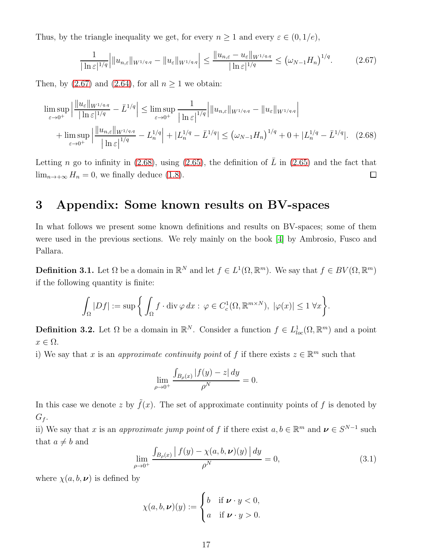Thus, by the triangle inequality we get, for every  $n \geq 1$  and every  $\varepsilon \in (0, 1/e)$ ,

<span id="page-16-2"></span><span id="page-16-1"></span>
$$
\frac{1}{|\ln \varepsilon|^{1/q}}\Big|\|u_{n,\varepsilon}\|_{W^{1/q,q}} - \|u_{\varepsilon}\|_{W^{1/q,q}}\Big| \le \frac{\|u_{n,\varepsilon} - u_{\varepsilon}\|_{W^{1/q,q}}}{|\ln \varepsilon|^{1/q}} \le (\omega_{N-1}H_n)^{1/q}.\tag{2.67}
$$

Then, by [\(2.67\)](#page-16-1) and [\(2.64\)](#page-15-3), for all  $n \ge 1$  we obtain:

$$
\limsup_{\varepsilon \to 0^+} \left| \frac{\|u_{\varepsilon}\|_{W^{1/q,q}}}{|\ln \varepsilon|^{1/q}} - \bar{L}^{1/q}| \right| \le \limsup_{\varepsilon \to 0^+} \frac{1}{|\ln \varepsilon|^{1/q}} \left| \|u_{n,\varepsilon}\|_{W^{1/q,q}} - \|u_{\varepsilon}\|_{W^{1/q,q}} \right|
$$
\n
$$
+ \limsup_{\varepsilon \to 0^+} \left| \frac{\|u_{n,\varepsilon}\|_{W^{1/q,q}}}{|\ln \varepsilon|^{1/q}} - L_n^{1/q}| + |L_n^{1/q} - \bar{L}^{1/q}| \right| \le \left(\omega_{N-1} H_n\right)^{1/q} + 0 + |L_n^{1/q} - \bar{L}^{1/q}|. \tag{2.68}
$$

Letting n go to infinity in [\(2.68\)](#page-16-2), using [\(2.65\)](#page-15-4), the definition of  $\overline{L}$  in (2.65) and the fact that  $\lim_{n\to+\infty} H_n = 0$ , we finally deduce [\(1.8\)](#page-1-2).  $\Box$ 

#### 3 Appendix: Some known results on BV-spaces

In what follows we present some known definitions and results on BV-spaces; some of them were used in the previous sections. We rely mainly on the book [\[4\]](#page-18-11) by Ambrosio, Fusco and Pallara.

**Definition 3.1.** Let  $\Omega$  be a domain in  $\mathbb{R}^N$  and let  $f \in L^1(\Omega, \mathbb{R}^m)$ . We say that  $f \in BV(\Omega, \mathbb{R}^m)$ if the following quantity is finite:

$$
\int_{\Omega} |Df| := \sup \left\{ \int_{\Omega} f \cdot \mathrm{div} \, \varphi \, dx : \, \varphi \in C_c^1(\Omega, \mathbb{R}^{m \times N}), \ |\varphi(x)| \le 1 \ \forall x \right\}.
$$

**Definition 3.2.** Let  $\Omega$  be a domain in  $\mathbb{R}^N$ . Consider a function  $f \in L^1_{loc}(\Omega, \mathbb{R}^m)$  and a point  $x \in \Omega$ .

i) We say that x is an approximate continuity point of f if there exists  $z \in \mathbb{R}^m$  such that

$$
\lim_{\rho \to 0^+} \frac{\int_{B_{\rho}(x)} |f(y) - z| \, dy}{\rho^N} = 0.
$$

In this case we denote z by  $\tilde{f}(x)$ . The set of approximate continuity points of f is denoted by  $G_f$ .

ii) We say that x is an *approximate jump point* of f if there exist  $a, b \in \mathbb{R}^m$  and  $\nu \in S^{N-1}$  such that  $a \neq b$  and

<span id="page-16-0"></span>
$$
\lim_{\rho \to 0^+} \frac{\int_{B_{\rho}(x)} |f(y) - \chi(a, b, \nu)(y)| dy}{\rho^N} = 0,
$$
\n(3.1)

where  $\chi(a, b, \nu)$  is defined by

$$
\chi(a,b,\nu)(y) := \begin{cases} b & \text{if } \nu \cdot y < 0, \\ a & \text{if } \nu \cdot y > 0. \end{cases}
$$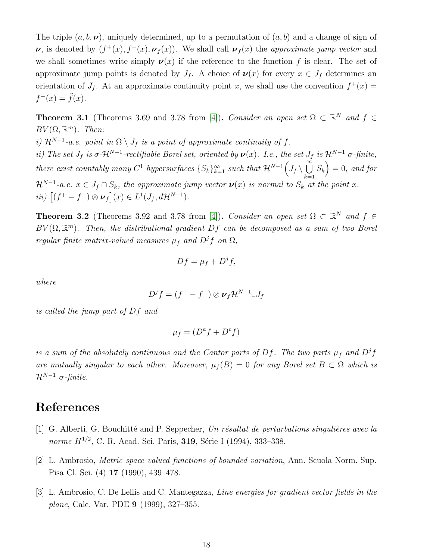The triple  $(a, b, \nu)$ , uniquely determined, up to a permutation of  $(a, b)$  and a change of sign of  $\nu$ , is denoted by  $(f^+(x), f^-(x), \nu_f(x))$ . We shall call  $\nu_f(x)$  the approximate jump vector and we shall sometimes write simply  $\nu(x)$  if the reference to the function f is clear. The set of approximate jump points is denoted by  $J_f$ . A choice of  $\nu(x)$  for every  $x \in J_f$  determines an orientation of  $J_f$ . At an approximate continuity point x, we shall use the convention  $f^+(x)$  $f^-(x) = \tilde{f}(x)$ .

**Theorem 3.1** (Theorems 3.69 and 3.78 from [\[4\]](#page-18-11)). Consider an open set  $\Omega \subset \mathbb{R}^N$  and  $f \in$  $BV(\Omega,\mathbb{R}^m)$ . Then: i)  $\mathcal{H}^{N-1}$ -a.e. point in  $\Omega \setminus J_f$  is a point of approximate continuity of f. ii) The set  $J_f$  is  $\sigma$ - $\mathcal{H}^{N-1}$ -rectifiable Borel set, oriented by  $\nu(x)$ . I.e., the set  $J_f$  is  $\mathcal{H}^{N-1}$   $\sigma$ -finite,

there exist countably many  $C^1$  hypersurfaces  $\{S_k\}_{k=1}^{\infty}$  such that  $\mathcal{H}^{N-1}(J_f \setminus \bigcup^{\infty} S_k) = 0$ , and for  $\mathcal{H}^{N-1}$ -a.e.  $x \in J_f \cap S_k$ , the approximate jump vector  $\nu(x)$  is normal to  $S_k$  at the point x. iii)  $[(f^+ - f^-) \otimes \nu_f](x) \in L^1(J_f, d\mathcal{H}^{N-1}).$ 

**Theorem 3.2** (Theorems 3.92 and 3.78 from [\[4\]](#page-18-11)). Consider an open set  $\Omega \subset \mathbb{R}^N$  and  $f \in$  $BV(\Omega,\mathbb{R}^m)$ . Then, the distributional gradient Df can be decomposed as a sum of two Borel regular finite matrix-valued measures  $\mu_f$  and  $D^if$  on  $\Omega$ ,

$$
Df = \mu_f + D^jf,
$$

where

$$
D^jf=(f^+-f^-)\otimes\boldsymbol{\nu}_f\mathcal{H}^{N-1}\llcorner J_f
$$

is called the jump part of Df and

$$
\mu_f = (D^a f + D^c f)
$$

is a sum of the absolutely continuous and the Cantor parts of Df. The two parts  $\mu_f$  and  $D^jf$ are mutually singular to each other. Moreover,  $\mu_f(B) = 0$  for any Borel set  $B \subset \Omega$  which is  $\mathcal{H}^{N-1}$  σ-finite.

### <span id="page-17-0"></span>References

- <span id="page-17-1"></span>[1] G. Alberti, G. Bouchitté and P. Seppecher, Un résultat de perturbations singulières avec la norme  $H^{1/2}$ , C. R. Acad. Sci. Paris, **319**, Série I (1994), 333–338.
- <span id="page-17-2"></span>[2] L. Ambrosio, Metric space valued functions of bounded variation, Ann. Scuola Norm. Sup. Pisa Cl. Sci. (4) 17 (1990), 439–478.
- [3] L. Ambrosio, C. De Lellis and C. Mantegazza, Line energies for gradient vector fields in the plane, Calc. Var. PDE 9 (1999), 327–355.